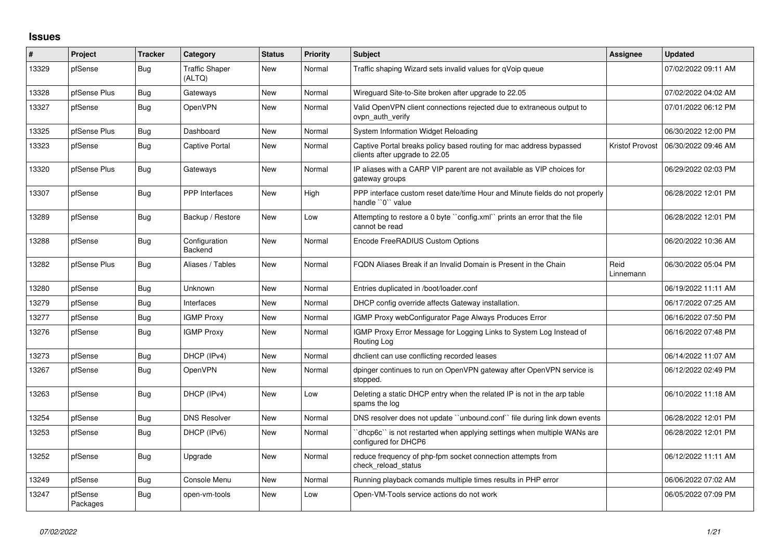## **Issues**

| ∦     | Project             | Tracker    | Category                        | <b>Status</b> | <b>Priority</b> | <b>Subject</b>                                                                                        | Assignee          | <b>Updated</b>      |
|-------|---------------------|------------|---------------------------------|---------------|-----------------|-------------------------------------------------------------------------------------------------------|-------------------|---------------------|
| 13329 | pfSense             | Bug        | <b>Traffic Shaper</b><br>(ALTQ) | New           | Normal          | Traffic shaping Wizard sets invalid values for qVoip queue                                            |                   | 07/02/2022 09:11 AM |
| 13328 | pfSense Plus        | Bug        | Gateways                        | New           | Normal          | Wireguard Site-to-Site broken after upgrade to 22.05                                                  |                   | 07/02/2022 04:02 AM |
| 13327 | pfSense             | Bug        | OpenVPN                         | New           | Normal          | Valid OpenVPN client connections rejected due to extraneous output to<br>ovpn auth verify             |                   | 07/01/2022 06:12 PM |
| 13325 | pfSense Plus        | Bug        | Dashboard                       | New           | Normal          | System Information Widget Reloading                                                                   |                   | 06/30/2022 12:00 PM |
| 13323 | pfSense             | Bug        | <b>Captive Portal</b>           | New           | Normal          | Captive Portal breaks policy based routing for mac address bypassed<br>clients after upgrade to 22.05 | Kristof Provost   | 06/30/2022 09:46 AM |
| 13320 | pfSense Plus        | Bug        | Gateways                        | New           | Normal          | IP aliases with a CARP VIP parent are not available as VIP choices for<br>gateway groups              |                   | 06/29/2022 02:03 PM |
| 13307 | pfSense             | Bug        | PPP Interfaces                  | New           | High            | PPP interface custom reset date/time Hour and Minute fields do not properly<br>handle "0" value       |                   | 06/28/2022 12:01 PM |
| 13289 | pfSense             | Bug        | Backup / Restore                | New           | Low             | Attempting to restore a 0 byte ``config.xml`` prints an error that the file<br>cannot be read         |                   | 06/28/2022 12:01 PM |
| 13288 | pfSense             | Bug        | Configuration<br><b>Backend</b> | <b>New</b>    | Normal          | Encode FreeRADIUS Custom Options                                                                      |                   | 06/20/2022 10:36 AM |
| 13282 | pfSense Plus        | Bug        | Aliases / Tables                | New           | Normal          | FQDN Aliases Break if an Invalid Domain is Present in the Chain                                       | Reid<br>Linnemann | 06/30/2022 05:04 PM |
| 13280 | pfSense             | Bug        | Unknown                         | <b>New</b>    | Normal          | Entries duplicated in /boot/loader.conf                                                               |                   | 06/19/2022 11:11 AM |
| 13279 | pfSense             | Bug        | Interfaces                      | New           | Normal          | DHCP config override affects Gateway installation.                                                    |                   | 06/17/2022 07:25 AM |
| 13277 | pfSense             | <b>Bug</b> | <b>IGMP Proxy</b>               | New           | Normal          | IGMP Proxy webConfigurator Page Always Produces Error                                                 |                   | 06/16/2022 07:50 PM |
| 13276 | pfSense             | Bug        | <b>IGMP Proxy</b>               | New           | Normal          | IGMP Proxy Error Message for Logging Links to System Log Instead of<br>Routing Log                    |                   | 06/16/2022 07:48 PM |
| 13273 | pfSense             | Bug        | DHCP (IPv4)                     | New           | Normal          | dhclient can use conflicting recorded leases                                                          |                   | 06/14/2022 11:07 AM |
| 13267 | pfSense             | Bug        | OpenVPN                         | New           | Normal          | dpinger continues to run on OpenVPN gateway after OpenVPN service is<br>stopped.                      |                   | 06/12/2022 02:49 PM |
| 13263 | pfSense             | Bug        | DHCP (IPv4)                     | <b>New</b>    | Low             | Deleting a static DHCP entry when the related IP is not in the arp table<br>spams the log             |                   | 06/10/2022 11:18 AM |
| 13254 | pfSense             | Bug        | <b>DNS Resolver</b>             | New           | Normal          | DNS resolver does not update "unbound.conf" file during link down events                              |                   | 06/28/2022 12:01 PM |
| 13253 | pfSense             | Bug        | DHCP (IPv6)                     | New           | Normal          | 'dhcp6c'' is not restarted when applying settings when multiple WANs are<br>configured for DHCP6      |                   | 06/28/2022 12:01 PM |
| 13252 | pfSense             | Bug        | Upgrade                         | New           | Normal          | reduce frequency of php-fpm socket connection attempts from<br>check reload status                    |                   | 06/12/2022 11:11 AM |
| 13249 | pfSense             | Bug        | Console Menu                    | <b>New</b>    | Normal          | Running playback comands multiple times results in PHP error                                          |                   | 06/06/2022 07:02 AM |
| 13247 | pfSense<br>Packages | Bug        | open-vm-tools                   | <b>New</b>    | Low             | Open-VM-Tools service actions do not work                                                             |                   | 06/05/2022 07:09 PM |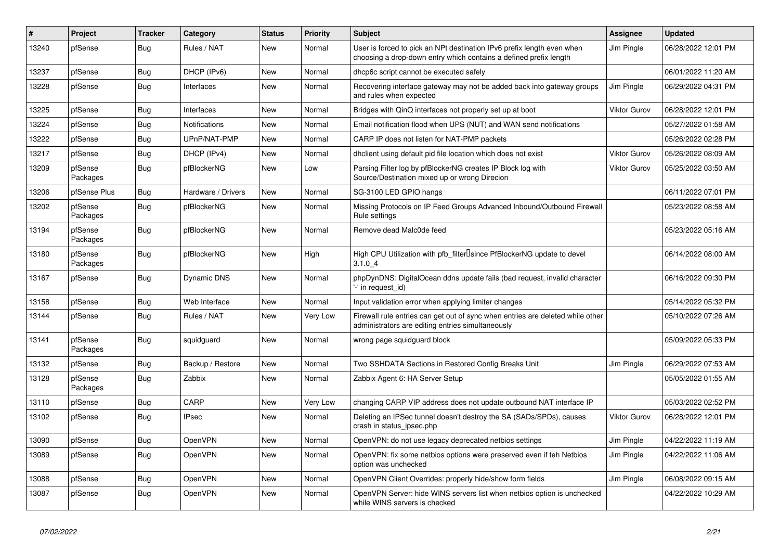| #     | Project             | <b>Tracker</b> | Category             | <b>Status</b> | <b>Priority</b> | <b>Subject</b>                                                                                                                              | Assignee            | <b>Updated</b>      |
|-------|---------------------|----------------|----------------------|---------------|-----------------|---------------------------------------------------------------------------------------------------------------------------------------------|---------------------|---------------------|
| 13240 | pfSense             | <b>Bug</b>     | Rules / NAT          | <b>New</b>    | Normal          | User is forced to pick an NPt destination IPv6 prefix length even when<br>choosing a drop-down entry which contains a defined prefix length | Jim Pingle          | 06/28/2022 12:01 PM |
| 13237 | pfSense             | <b>Bug</b>     | DHCP (IPv6)          | New           | Normal          | dhcp6c script cannot be executed safely                                                                                                     |                     | 06/01/2022 11:20 AM |
| 13228 | pfSense             | Bug            | Interfaces           | New           | Normal          | Recovering interface gateway may not be added back into gateway groups<br>and rules when expected                                           | Jim Pingle          | 06/29/2022 04:31 PM |
| 13225 | pfSense             | Bug            | Interfaces           | New           | Normal          | Bridges with QinQ interfaces not properly set up at boot                                                                                    | <b>Viktor Gurov</b> | 06/28/2022 12:01 PM |
| 13224 | pfSense             | Bug            | <b>Notifications</b> | New           | Normal          | Email notification flood when UPS (NUT) and WAN send notifications                                                                          |                     | 05/27/2022 01:58 AM |
| 13222 | pfSense             | Bug            | UPnP/NAT-PMP         | New           | Normal          | CARP IP does not listen for NAT-PMP packets                                                                                                 |                     | 05/26/2022 02:28 PM |
| 13217 | pfSense             | Bug            | DHCP (IPv4)          | New           | Normal          | dhclient using default pid file location which does not exist                                                                               | <b>Viktor Gurov</b> | 05/26/2022 08:09 AM |
| 13209 | pfSense<br>Packages | Bug            | pfBlockerNG          | <b>New</b>    | Low             | Parsing Filter log by pfBlockerNG creates IP Block log with<br>Source/Destination mixed up or wrong Direcion                                | <b>Viktor Gurov</b> | 05/25/2022 03:50 AM |
| 13206 | pfSense Plus        | <b>Bug</b>     | Hardware / Drivers   | New           | Normal          | SG-3100 LED GPIO hangs                                                                                                                      |                     | 06/11/2022 07:01 PM |
| 13202 | pfSense<br>Packages | <b>Bug</b>     | pfBlockerNG          | <b>New</b>    | Normal          | Missing Protocols on IP Feed Groups Advanced Inbound/Outbound Firewall<br>Rule settings                                                     |                     | 05/23/2022 08:58 AM |
| 13194 | pfSense<br>Packages | Bug            | pfBlockerNG          | New           | Normal          | Remove dead Malc0de feed                                                                                                                    |                     | 05/23/2022 05:16 AM |
| 13180 | pfSense<br>Packages | Bug            | pfBlockerNG          | <b>New</b>    | High            | High CPU Utilization with pfb filter Isince PfBlockerNG update to devel<br>3.1.04                                                           |                     | 06/14/2022 08:00 AM |
| 13167 | pfSense             | <b>Bug</b>     | <b>Dynamic DNS</b>   | <b>New</b>    | Normal          | phpDynDNS: DigitalOcean ddns update fails (bad request, invalid character<br>'-' in request id)                                             |                     | 06/16/2022 09:30 PM |
| 13158 | pfSense             | <b>Bug</b>     | Web Interface        | <b>New</b>    | Normal          | Input validation error when applying limiter changes                                                                                        |                     | 05/14/2022 05:32 PM |
| 13144 | pfSense             | <b>Bug</b>     | Rules / NAT          | New           | Very Low        | Firewall rule entries can get out of sync when entries are deleted while other<br>administrators are editing entries simultaneously         |                     | 05/10/2022 07:26 AM |
| 13141 | pfSense<br>Packages | Bug            | squidguard           | <b>New</b>    | Normal          | wrong page squidguard block                                                                                                                 |                     | 05/09/2022 05:33 PM |
| 13132 | pfSense             | Bug            | Backup / Restore     | New           | Normal          | Two SSHDATA Sections in Restored Config Breaks Unit                                                                                         | Jim Pingle          | 06/29/2022 07:53 AM |
| 13128 | pfSense<br>Packages | Bug            | Zabbix               | New           | Normal          | Zabbix Agent 6: HA Server Setup                                                                                                             |                     | 05/05/2022 01:55 AM |
| 13110 | pfSense             | Bug            | CARP                 | New           | Very Low        | changing CARP VIP address does not update outbound NAT interface IP                                                                         |                     | 05/03/2022 02:52 PM |
| 13102 | pfSense             | Bug            | <b>IPsec</b>         | New           | Normal          | Deleting an IPSec tunnel doesn't destroy the SA (SADs/SPDs), causes<br>crash in status_ipsec.php                                            | <b>Viktor Gurov</b> | 06/28/2022 12:01 PM |
| 13090 | pfSense             | Bug            | OpenVPN              | <b>New</b>    | Normal          | OpenVPN: do not use legacy deprecated netbios settings                                                                                      | Jim Pingle          | 04/22/2022 11:19 AM |
| 13089 | pfSense             | Bug            | OpenVPN              | <b>New</b>    | Normal          | OpenVPN: fix some netbios options were preserved even if teh Netbios<br>option was unchecked                                                | Jim Pingle          | 04/22/2022 11:06 AM |
| 13088 | pfSense             | Bug            | OpenVPN              | New           | Normal          | OpenVPN Client Overrides: properly hide/show form fields                                                                                    | Jim Pingle          | 06/08/2022 09:15 AM |
| 13087 | pfSense             | Bug            | OpenVPN              | New           | Normal          | OpenVPN Server: hide WINS servers list when netbios option is unchecked<br>while WINS servers is checked                                    |                     | 04/22/2022 10:29 AM |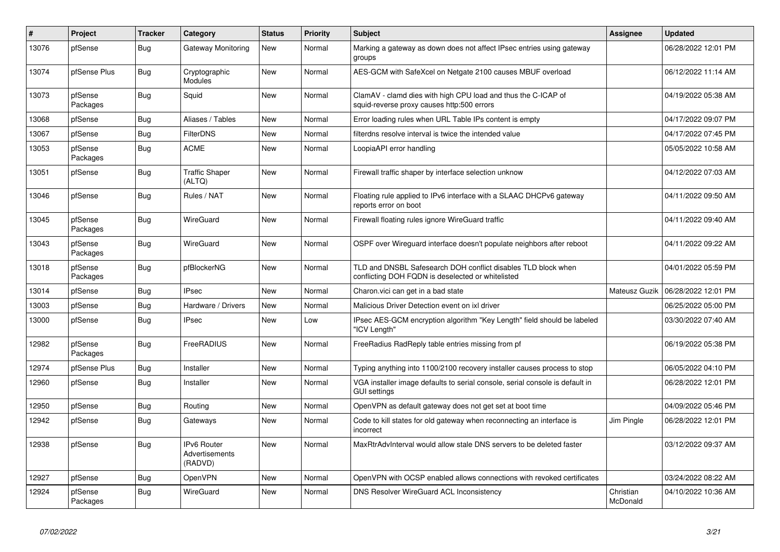| #     | Project             | <b>Tracker</b> | Category                                       | <b>Status</b> | <b>Priority</b> | <b>Subject</b>                                                                                                     | Assignee              | <b>Updated</b>      |
|-------|---------------------|----------------|------------------------------------------------|---------------|-----------------|--------------------------------------------------------------------------------------------------------------------|-----------------------|---------------------|
| 13076 | pfSense             | Bug            | Gateway Monitoring                             | <b>New</b>    | Normal          | Marking a gateway as down does not affect IPsec entries using gateway<br>groups                                    |                       | 06/28/2022 12:01 PM |
| 13074 | pfSense Plus        | <b>Bug</b>     | Cryptographic<br><b>Modules</b>                | <b>New</b>    | Normal          | AES-GCM with SafeXcel on Netgate 2100 causes MBUF overload                                                         |                       | 06/12/2022 11:14 AM |
| 13073 | pfSense<br>Packages | <b>Bug</b>     | Squid                                          | <b>New</b>    | Normal          | ClamAV - clamd dies with high CPU load and thus the C-ICAP of<br>squid-reverse proxy causes http:500 errors        |                       | 04/19/2022 05:38 AM |
| 13068 | pfSense             | Bug            | Aliases / Tables                               | <b>New</b>    | Normal          | Error loading rules when URL Table IPs content is empty                                                            |                       | 04/17/2022 09:07 PM |
| 13067 | pfSense             | <b>Bug</b>     | <b>FilterDNS</b>                               | New           | Normal          | filterdns resolve interval is twice the intended value                                                             |                       | 04/17/2022 07:45 PM |
| 13053 | pfSense<br>Packages | Bug            | <b>ACME</b>                                    | <b>New</b>    | Normal          | LoopiaAPI error handling                                                                                           |                       | 05/05/2022 10:58 AM |
| 13051 | pfSense             | Bug            | <b>Traffic Shaper</b><br>(ALTQ)                | New           | Normal          | Firewall traffic shaper by interface selection unknow                                                              |                       | 04/12/2022 07:03 AM |
| 13046 | pfSense             | <b>Bug</b>     | Rules / NAT                                    | <b>New</b>    | Normal          | Floating rule applied to IPv6 interface with a SLAAC DHCPv6 gateway<br>reports error on boot                       |                       | 04/11/2022 09:50 AM |
| 13045 | pfSense<br>Packages | Bug            | WireGuard                                      | <b>New</b>    | Normal          | Firewall floating rules ignore WireGuard traffic                                                                   |                       | 04/11/2022 09:40 AM |
| 13043 | pfSense<br>Packages | <b>Bug</b>     | WireGuard                                      | New           | Normal          | OSPF over Wireguard interface doesn't populate neighbors after reboot                                              |                       | 04/11/2022 09:22 AM |
| 13018 | pfSense<br>Packages | <b>Bug</b>     | pfBlockerNG                                    | <b>New</b>    | Normal          | TLD and DNSBL Safesearch DOH conflict disables TLD block when<br>conflicting DOH FQDN is deselected or whitelisted |                       | 04/01/2022 05:59 PM |
| 13014 | pfSense             | <b>Bug</b>     | <b>IPsec</b>                                   | New           | Normal          | Charon.vici can get in a bad state                                                                                 | Mateusz Guzik         | 06/28/2022 12:01 PM |
| 13003 | pfSense             | <b>Bug</b>     | Hardware / Drivers                             | <b>New</b>    | Normal          | Malicious Driver Detection event on ixl driver                                                                     |                       | 06/25/2022 05:00 PM |
| 13000 | pfSense             | <b>Bug</b>     | <b>IPsec</b>                                   | <b>New</b>    | Low             | IPsec AES-GCM encryption algorithm "Key Length" field should be labeled<br>'ICV Length"                            |                       | 03/30/2022 07:40 AM |
| 12982 | pfSense<br>Packages | <b>Bug</b>     | FreeRADIUS                                     | <b>New</b>    | Normal          | FreeRadius RadReply table entries missing from pf                                                                  |                       | 06/19/2022 05:38 PM |
| 12974 | pfSense Plus        | <b>Bug</b>     | Installer                                      | <b>New</b>    | Normal          | Typing anything into 1100/2100 recovery installer causes process to stop                                           |                       | 06/05/2022 04:10 PM |
| 12960 | pfSense             | <b>Bug</b>     | Installer                                      | <b>New</b>    | Normal          | VGA installer image defaults to serial console, serial console is default in<br><b>GUI settings</b>                |                       | 06/28/2022 12:01 PM |
| 12950 | pfSense             | Bug            | Routing                                        | New           | Normal          | OpenVPN as default gateway does not get set at boot time                                                           |                       | 04/09/2022 05:46 PM |
| 12942 | pfSense             | <b>Bug</b>     | Gateways                                       | New           | Normal          | Code to kill states for old gateway when reconnecting an interface is<br>incorrect                                 | Jim Pingle            | 06/28/2022 12:01 PM |
| 12938 | pfSense             | <b>Bug</b>     | <b>Pv6 Router</b><br>Advertisements<br>(RADVD) | <b>New</b>    | Normal          | MaxRtrAdvInterval would allow stale DNS servers to be deleted faster                                               |                       | 03/12/2022 09:37 AM |
| 12927 | pfSense             | Bug            | <b>OpenVPN</b>                                 | <b>New</b>    | Normal          | OpenVPN with OCSP enabled allows connections with revoked certificates                                             |                       | 03/24/2022 08:22 AM |
| 12924 | pfSense<br>Packages | Bug            | WireGuard                                      | <b>New</b>    | Normal          | <b>DNS Resolver WireGuard ACL Inconsistency</b>                                                                    | Christian<br>McDonald | 04/10/2022 10:36 AM |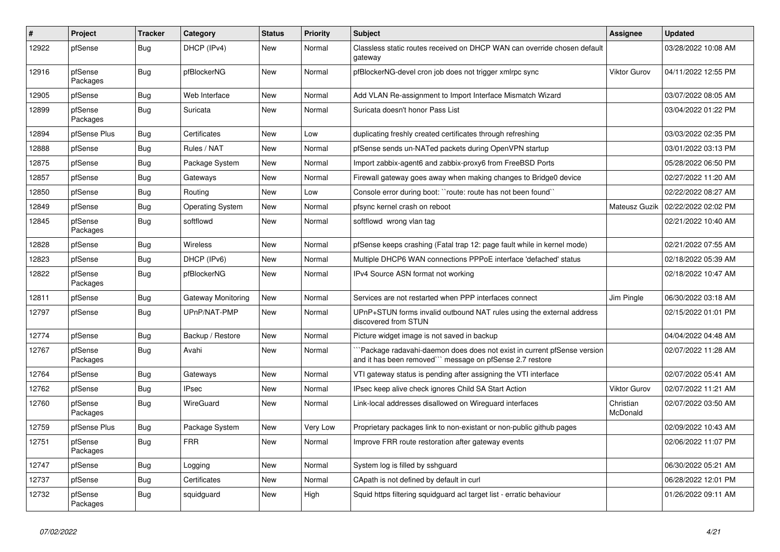| $\vert$ # | Project             | <b>Tracker</b> | Category                | <b>Status</b> | <b>Priority</b> | <b>Subject</b>                                                                                                                     | <b>Assignee</b>       | <b>Updated</b>      |
|-----------|---------------------|----------------|-------------------------|---------------|-----------------|------------------------------------------------------------------------------------------------------------------------------------|-----------------------|---------------------|
| 12922     | pfSense             | <b>Bug</b>     | DHCP (IPv4)             | New           | Normal          | Classless static routes received on DHCP WAN can override chosen default<br>gateway                                                |                       | 03/28/2022 10:08 AM |
| 12916     | pfSense<br>Packages | Bug            | pfBlockerNG             | <b>New</b>    | Normal          | pfBlockerNG-devel cron job does not trigger xmlrpc sync                                                                            | Viktor Gurov          | 04/11/2022 12:55 PM |
| 12905     | pfSense             | <b>Bug</b>     | Web Interface           | <b>New</b>    | Normal          | Add VLAN Re-assignment to Import Interface Mismatch Wizard                                                                         |                       | 03/07/2022 08:05 AM |
| 12899     | pfSense<br>Packages | Bug            | Suricata                | <b>New</b>    | Normal          | Suricata doesn't honor Pass List                                                                                                   |                       | 03/04/2022 01:22 PM |
| 12894     | pfSense Plus        | <b>Bug</b>     | Certificates            | <b>New</b>    | Low             | duplicating freshly created certificates through refreshing                                                                        |                       | 03/03/2022 02:35 PM |
| 12888     | pfSense             | <b>Bug</b>     | Rules / NAT             | New           | Normal          | pfSense sends un-NATed packets during OpenVPN startup                                                                              |                       | 03/01/2022 03:13 PM |
| 12875     | pfSense             | <b>Bug</b>     | Package System          | New           | Normal          | Import zabbix-agent6 and zabbix-proxy6 from FreeBSD Ports                                                                          |                       | 05/28/2022 06:50 PM |
| 12857     | pfSense             | <b>Bug</b>     | Gateways                | New           | Normal          | Firewall gateway goes away when making changes to Bridge0 device                                                                   |                       | 02/27/2022 11:20 AM |
| 12850     | pfSense             | <b>Bug</b>     | Routing                 | New           | Low             | Console error during boot: "route: route has not been found"                                                                       |                       | 02/22/2022 08:27 AM |
| 12849     | pfSense             | <b>Bug</b>     | <b>Operating System</b> | New           | Normal          | pfsync kernel crash on reboot                                                                                                      | Mateusz Guzik         | 02/22/2022 02:02 PM |
| 12845     | pfSense<br>Packages | Bug            | softflowd               | New           | Normal          | softflowd wrong vlan tag                                                                                                           |                       | 02/21/2022 10:40 AM |
| 12828     | pfSense             | Bug            | Wireless                | <b>New</b>    | Normal          | pfSense keeps crashing (Fatal trap 12: page fault while in kernel mode)                                                            |                       | 02/21/2022 07:55 AM |
| 12823     | pfSense             | <b>Bug</b>     | DHCP (IPv6)             | <b>New</b>    | Normal          | Multiple DHCP6 WAN connections PPPoE interface 'defached' status                                                                   |                       | 02/18/2022 05:39 AM |
| 12822     | pfSense<br>Packages | Bug            | pfBlockerNG             | <b>New</b>    | Normal          | IPv4 Source ASN format not working                                                                                                 |                       | 02/18/2022 10:47 AM |
| 12811     | pfSense             | Bug            | Gateway Monitoring      | New           | Normal          | Services are not restarted when PPP interfaces connect                                                                             | Jim Pingle            | 06/30/2022 03:18 AM |
| 12797     | pfSense             | <b>Bug</b>     | UPnP/NAT-PMP            | New           | Normal          | UPnP+STUN forms invalid outbound NAT rules using the external address<br>discovered from STUN                                      |                       | 02/15/2022 01:01 PM |
| 12774     | pfSense             | <b>Bug</b>     | Backup / Restore        | <b>New</b>    | Normal          | Picture widget image is not saved in backup                                                                                        |                       | 04/04/2022 04:48 AM |
| 12767     | pfSense<br>Packages | Bug            | Avahi                   | <b>New</b>    | Normal          | Package radavahi-daemon does does not exist in current pfSense version<br>and it has been removed"" message on pfSense 2.7 restore |                       | 02/07/2022 11:28 AM |
| 12764     | pfSense             | Bug            | Gateways                | <b>New</b>    | Normal          | VTI gateway status is pending after assigning the VTI interface                                                                    |                       | 02/07/2022 05:41 AM |
| 12762     | pfSense             | <b>Bug</b>     | <b>IPsec</b>            | <b>New</b>    | Normal          | IPsec keep alive check ignores Child SA Start Action                                                                               | <b>Viktor Gurov</b>   | 02/07/2022 11:21 AM |
| 12760     | pfSense<br>Packages | <b>Bug</b>     | WireGuard               | <b>New</b>    | Normal          | Link-local addresses disallowed on Wireguard interfaces                                                                            | Christian<br>McDonald | 02/07/2022 03:50 AM |
| 12759     | pfSense Plus        | Bug            | Package System          | New           | Very Low        | Proprietary packages link to non-existant or non-public github pages                                                               |                       | 02/09/2022 10:43 AM |
| 12751     | pfSense<br>Packages | <b>Bug</b>     | <b>FRR</b>              | New           | Normal          | Improve FRR route restoration after gateway events                                                                                 |                       | 02/06/2022 11:07 PM |
| 12747     | pfSense             | Bug            | Logging                 | <b>New</b>    | Normal          | System log is filled by sshguard                                                                                                   |                       | 06/30/2022 05:21 AM |
| 12737     | pfSense             | Bug            | Certificates            | New           | Normal          | CApath is not defined by default in curl                                                                                           |                       | 06/28/2022 12:01 PM |
| 12732     | pfSense<br>Packages | Bug            | squidguard              | <b>New</b>    | High            | Squid https filtering squidguard acl target list - erratic behaviour                                                               |                       | 01/26/2022 09:11 AM |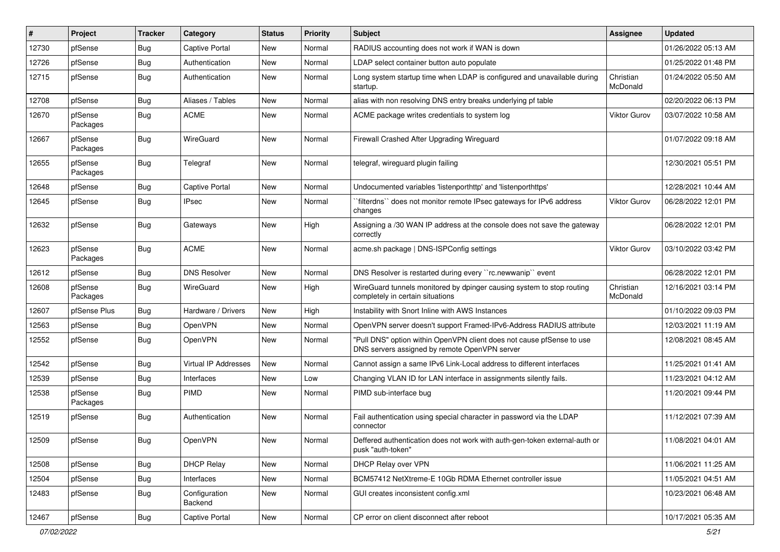| ∦     | Project             | <b>Tracker</b> | Category                 | <b>Status</b> | <b>Priority</b> | <b>Subject</b>                                                                                                         | <b>Assignee</b>              | <b>Updated</b>      |
|-------|---------------------|----------------|--------------------------|---------------|-----------------|------------------------------------------------------------------------------------------------------------------------|------------------------------|---------------------|
| 12730 | pfSense             | Bug            | <b>Captive Portal</b>    | New           | Normal          | RADIUS accounting does not work if WAN is down                                                                         |                              | 01/26/2022 05:13 AM |
| 12726 | pfSense             | Bug            | Authentication           | <b>New</b>    | Normal          | LDAP select container button auto populate                                                                             |                              | 01/25/2022 01:48 PM |
| 12715 | pfSense             | Bug            | Authentication           | New           | Normal          | Long system startup time when LDAP is configured and unavailable during<br>startup.                                    | Christian<br><b>McDonald</b> | 01/24/2022 05:50 AM |
| 12708 | pfSense             | <b>Bug</b>     | Aliases / Tables         | <b>New</b>    | Normal          | alias with non resolving DNS entry breaks underlying pf table                                                          |                              | 02/20/2022 06:13 PM |
| 12670 | pfSense<br>Packages | Bug            | <b>ACME</b>              | New           | Normal          | ACME package writes credentials to system log                                                                          | Viktor Gurov                 | 03/07/2022 10:58 AM |
| 12667 | pfSense<br>Packages | Bug            | WireGuard                | <b>New</b>    | Normal          | Firewall Crashed After Upgrading Wireguard                                                                             |                              | 01/07/2022 09:18 AM |
| 12655 | pfSense<br>Packages | Bug            | Telegraf                 | <b>New</b>    | Normal          | telegraf, wireguard plugin failing                                                                                     |                              | 12/30/2021 05:51 PM |
| 12648 | pfSense             | <b>Bug</b>     | <b>Captive Portal</b>    | <b>New</b>    | Normal          | Undocumented variables 'listenporthttp' and 'listenporthttps'                                                          |                              | 12/28/2021 10:44 AM |
| 12645 | pfSense             | Bug            | <b>IPsec</b>             | New           | Normal          | `filterdns`` does not monitor remote IPsec gateways for IPv6 address<br>changes                                        | Viktor Gurov                 | 06/28/2022 12:01 PM |
| 12632 | pfSense             | Bug            | Gateways                 | New           | High            | Assigning a /30 WAN IP address at the console does not save the gateway<br>correctly                                   |                              | 06/28/2022 12:01 PM |
| 12623 | pfSense<br>Packages | Bug            | <b>ACME</b>              | <b>New</b>    | Normal          | acme.sh package   DNS-ISPConfig settings                                                                               | Viktor Gurov                 | 03/10/2022 03:42 PM |
| 12612 | pfSense             | Bug            | <b>DNS Resolver</b>      | <b>New</b>    | Normal          | DNS Resolver is restarted during every "rc.newwanip" event                                                             |                              | 06/28/2022 12:01 PM |
| 12608 | pfSense<br>Packages | Bug            | WireGuard                | New           | High            | WireGuard tunnels monitored by dpinger causing system to stop routing<br>completely in certain situations              | Christian<br>McDonald        | 12/16/2021 03:14 PM |
| 12607 | pfSense Plus        | Bug            | Hardware / Drivers       | New           | High            | Instability with Snort Inline with AWS Instances                                                                       |                              | 01/10/2022 09:03 PM |
| 12563 | pfSense             | Bug            | OpenVPN                  | New           | Normal          | OpenVPN server doesn't support Framed-IPv6-Address RADIUS attribute                                                    |                              | 12/03/2021 11:19 AM |
| 12552 | pfSense             | Bug            | OpenVPN                  | New           | Normal          | "Pull DNS" option within OpenVPN client does not cause pfSense to use<br>DNS servers assigned by remote OpenVPN server |                              | 12/08/2021 08:45 AM |
| 12542 | pfSense             | Bug            | Virtual IP Addresses     | New           | Normal          | Cannot assign a same IPv6 Link-Local address to different interfaces                                                   |                              | 11/25/2021 01:41 AM |
| 12539 | pfSense             | Bug            | Interfaces               | <b>New</b>    | Low             | Changing VLAN ID for LAN interface in assignments silently fails.                                                      |                              | 11/23/2021 04:12 AM |
| 12538 | pfSense<br>Packages | Bug            | PIMD                     | New           | Normal          | PIMD sub-interface bug                                                                                                 |                              | 11/20/2021 09:44 PM |
| 12519 | pfSense             | <b>Bug</b>     | Authentication           | New           | Normal          | Fail authentication using special character in password via the LDAP<br>connector                                      |                              | 11/12/2021 07:39 AM |
| 12509 | pfSense             | Bug            | OpenVPN                  | New           | Normal          | Deffered authentication does not work with auth-gen-token external-auth or<br>pusk "auth-token"                        |                              | 11/08/2021 04:01 AM |
| 12508 | pfSense             | Bug            | <b>DHCP Relay</b>        | New           | Normal          | DHCP Relay over VPN                                                                                                    |                              | 11/06/2021 11:25 AM |
| 12504 | pfSense             | Bug            | Interfaces               | New           | Normal          | BCM57412 NetXtreme-E 10Gb RDMA Ethernet controller issue                                                               |                              | 11/05/2021 04:51 AM |
| 12483 | pfSense             | <b>Bug</b>     | Configuration<br>Backend | New           | Normal          | GUI creates inconsistent config.xml                                                                                    |                              | 10/23/2021 06:48 AM |
| 12467 | pfSense             | <b>Bug</b>     | <b>Captive Portal</b>    | New           | Normal          | CP error on client disconnect after reboot                                                                             |                              | 10/17/2021 05:35 AM |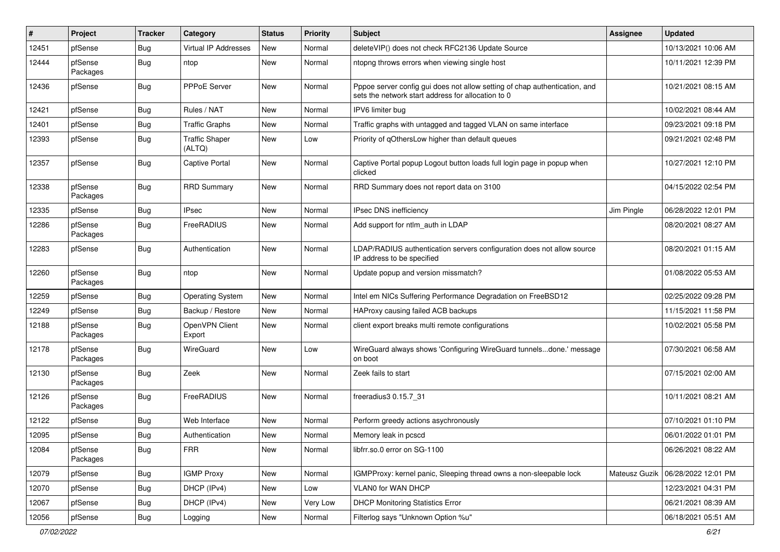| #     | Project             | <b>Tracker</b> | Category                        | <b>Status</b> | <b>Priority</b> | <b>Subject</b>                                                                                                                   | <b>Assignee</b> | <b>Updated</b>      |
|-------|---------------------|----------------|---------------------------------|---------------|-----------------|----------------------------------------------------------------------------------------------------------------------------------|-----------------|---------------------|
| 12451 | pfSense             | <b>Bug</b>     | <b>Virtual IP Addresses</b>     | New           | Normal          | deleteVIP() does not check RFC2136 Update Source                                                                                 |                 | 10/13/2021 10:06 AM |
| 12444 | pfSense<br>Packages | <b>Bug</b>     | ntop                            | New           | Normal          | ntopng throws errors when viewing single host                                                                                    |                 | 10/11/2021 12:39 PM |
| 12436 | pfSense             | <b>Bug</b>     | <b>PPPoE Server</b>             | New           | Normal          | Pppoe server config gui does not allow setting of chap authentication, and<br>sets the network start address for allocation to 0 |                 | 10/21/2021 08:15 AM |
| 12421 | pfSense             | <b>Bug</b>     | Rules / NAT                     | New           | Normal          | IPV6 limiter bug                                                                                                                 |                 | 10/02/2021 08:44 AM |
| 12401 | pfSense             | Bug            | <b>Traffic Graphs</b>           | New           | Normal          | Traffic graphs with untagged and tagged VLAN on same interface                                                                   |                 | 09/23/2021 09:18 PM |
| 12393 | pfSense             | <b>Bug</b>     | <b>Traffic Shaper</b><br>(ALTQ) | New           | Low             | Priority of qOthersLow higher than default queues                                                                                |                 | 09/21/2021 02:48 PM |
| 12357 | pfSense             | Bug            | Captive Portal                  | New           | Normal          | Captive Portal popup Logout button loads full login page in popup when<br>clicked                                                |                 | 10/27/2021 12:10 PM |
| 12338 | pfSense<br>Packages | <b>Bug</b>     | <b>RRD Summary</b>              | New           | Normal          | RRD Summary does not report data on 3100                                                                                         |                 | 04/15/2022 02:54 PM |
| 12335 | pfSense             | <b>Bug</b>     | <b>IPsec</b>                    | New           | Normal          | IPsec DNS inefficiency                                                                                                           | Jim Pingle      | 06/28/2022 12:01 PM |
| 12286 | pfSense<br>Packages | <b>Bug</b>     | FreeRADIUS                      | New           | Normal          | Add support for ntlm auth in LDAP                                                                                                |                 | 08/20/2021 08:27 AM |
| 12283 | pfSense             | <b>Bug</b>     | Authentication                  | New           | Normal          | LDAP/RADIUS authentication servers configuration does not allow source<br>IP address to be specified                             |                 | 08/20/2021 01:15 AM |
| 12260 | pfSense<br>Packages | <b>Bug</b>     | ntop                            | <b>New</b>    | Normal          | Update popup and version missmatch?                                                                                              |                 | 01/08/2022 05:53 AM |
| 12259 | pfSense             | Bug            | <b>Operating System</b>         | New           | Normal          | Intel em NICs Suffering Performance Degradation on FreeBSD12                                                                     |                 | 02/25/2022 09:28 PM |
| 12249 | pfSense             | <b>Bug</b>     | Backup / Restore                | New           | Normal          | HAProxy causing failed ACB backups                                                                                               |                 | 11/15/2021 11:58 PM |
| 12188 | pfSense<br>Packages | Bug            | OpenVPN Client<br>Export        | New           | Normal          | client export breaks multi remote configurations                                                                                 |                 | 10/02/2021 05:58 PM |
| 12178 | pfSense<br>Packages | <b>Bug</b>     | WireGuard                       | New           | Low             | WireGuard always shows 'Configuring WireGuard tunnelsdone.' message<br>on boot                                                   |                 | 07/30/2021 06:58 AM |
| 12130 | pfSense<br>Packages | <b>Bug</b>     | Zeek                            | New           | Normal          | Zeek fails to start                                                                                                              |                 | 07/15/2021 02:00 AM |
| 12126 | pfSense<br>Packages | <b>Bug</b>     | FreeRADIUS                      | New           | Normal          | freeradius3 0.15.7 31                                                                                                            |                 | 10/11/2021 08:21 AM |
| 12122 | pfSense             | <b>Bug</b>     | Web Interface                   | New           | Normal          | Perform greedy actions asychronously                                                                                             |                 | 07/10/2021 01:10 PM |
| 12095 | pfSense             | Bug            | Authentication                  | New           | Normal          | Memory leak in pcscd                                                                                                             |                 | 06/01/2022 01:01 PM |
| 12084 | pfSense<br>Packages | Bug            | <b>FRR</b>                      | New           | Normal          | libfrr.so.0 error on SG-1100                                                                                                     |                 | 06/26/2021 08:22 AM |
| 12079 | pfSense             | Bug            | <b>IGMP Proxy</b>               | New           | Normal          | IGMPProxy: kernel panic, Sleeping thread owns a non-sleepable lock                                                               | Mateusz Guzik   | 06/28/2022 12:01 PM |
| 12070 | pfSense             | <b>Bug</b>     | DHCP (IPv4)                     | New           | Low             | VLAN0 for WAN DHCP                                                                                                               |                 | 12/23/2021 04:31 PM |
| 12067 | pfSense             | <b>Bug</b>     | DHCP (IPv4)                     | New           | Very Low        | <b>DHCP Monitoring Statistics Error</b>                                                                                          |                 | 06/21/2021 08:39 AM |
| 12056 | pfSense             | Bug            | Logging                         | New           | Normal          | Filterlog says "Unknown Option %u"                                                                                               |                 | 06/18/2021 05:51 AM |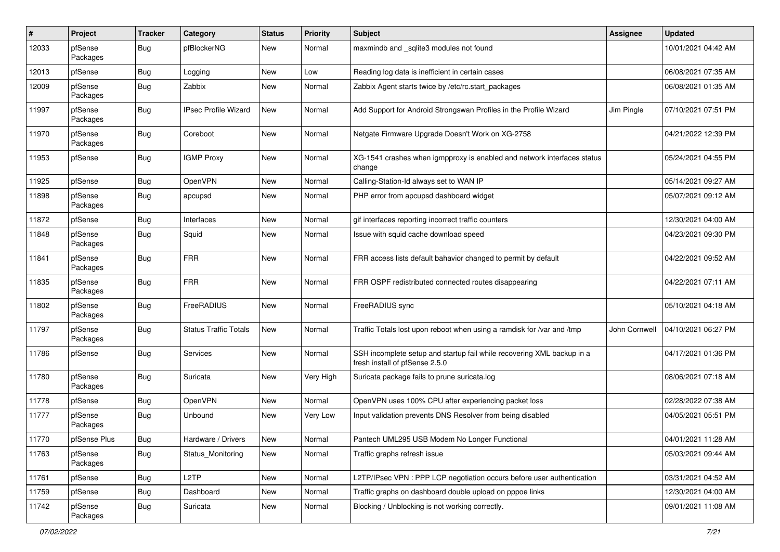| ∦     | Project             | <b>Tracker</b> | Category                     | <b>Status</b> | <b>Priority</b> | <b>Subject</b>                                                                                           | Assignee      | <b>Updated</b>      |
|-------|---------------------|----------------|------------------------------|---------------|-----------------|----------------------------------------------------------------------------------------------------------|---------------|---------------------|
| 12033 | pfSense<br>Packages | Bug            | pfBlockerNG                  | New           | Normal          | maxmindb and _sqlite3 modules not found                                                                  |               | 10/01/2021 04:42 AM |
| 12013 | pfSense             | Bug            | Logging                      | New           | Low             | Reading log data is inefficient in certain cases                                                         |               | 06/08/2021 07:35 AM |
| 12009 | pfSense<br>Packages | <b>Bug</b>     | Zabbix                       | New           | Normal          | Zabbix Agent starts twice by /etc/rc.start_packages                                                      |               | 06/08/2021 01:35 AM |
| 11997 | pfSense<br>Packages | Bug            | <b>IPsec Profile Wizard</b>  | New           | Normal          | Add Support for Android Strongswan Profiles in the Profile Wizard                                        | Jim Pingle    | 07/10/2021 07:51 PM |
| 11970 | pfSense<br>Packages | Bug            | Coreboot                     | New           | Normal          | Netgate Firmware Upgrade Doesn't Work on XG-2758                                                         |               | 04/21/2022 12:39 PM |
| 11953 | pfSense             | Bug            | <b>IGMP Proxy</b>            | <b>New</b>    | Normal          | XG-1541 crashes when igmpproxy is enabled and network interfaces status<br>change                        |               | 05/24/2021 04:55 PM |
| 11925 | pfSense             | Bug            | OpenVPN                      | <b>New</b>    | Normal          | Calling-Station-Id always set to WAN IP                                                                  |               | 05/14/2021 09:27 AM |
| 11898 | pfSense<br>Packages | <b>Bug</b>     | apcupsd                      | New           | Normal          | PHP error from apcupsd dashboard widget                                                                  |               | 05/07/2021 09:12 AM |
| 11872 | pfSense             | Bug            | Interfaces                   | <b>New</b>    | Normal          | gif interfaces reporting incorrect traffic counters                                                      |               | 12/30/2021 04:00 AM |
| 11848 | pfSense<br>Packages | Bug            | Squid                        | New           | Normal          | Issue with squid cache download speed                                                                    |               | 04/23/2021 09:30 PM |
| 11841 | pfSense<br>Packages | Bug            | <b>FRR</b>                   | New           | Normal          | FRR access lists default bahavior changed to permit by default                                           |               | 04/22/2021 09:52 AM |
| 11835 | pfSense<br>Packages | Bug            | <b>FRR</b>                   | <b>New</b>    | Normal          | FRR OSPF redistributed connected routes disappearing                                                     |               | 04/22/2021 07:11 AM |
| 11802 | pfSense<br>Packages | Bug            | FreeRADIUS                   | New           | Normal          | FreeRADIUS sync                                                                                          |               | 05/10/2021 04:18 AM |
| 11797 | pfSense<br>Packages | <b>Bug</b>     | <b>Status Traffic Totals</b> | New           | Normal          | Traffic Totals lost upon reboot when using a ramdisk for /var and /tmp                                   | John Cornwell | 04/10/2021 06:27 PM |
| 11786 | pfSense             | Bug            | Services                     | New           | Normal          | SSH incomplete setup and startup fail while recovering XML backup in a<br>fresh install of pfSense 2.5.0 |               | 04/17/2021 01:36 PM |
| 11780 | pfSense<br>Packages | Bug            | Suricata                     | New           | Very High       | Suricata package fails to prune suricata.log                                                             |               | 08/06/2021 07:18 AM |
| 11778 | pfSense             | Bug            | OpenVPN                      | <b>New</b>    | Normal          | OpenVPN uses 100% CPU after experiencing packet loss                                                     |               | 02/28/2022 07:38 AM |
| 11777 | pfSense<br>Packages | Bug            | Unbound                      | New           | Very Low        | Input validation prevents DNS Resolver from being disabled                                               |               | 04/05/2021 05:51 PM |
| 11770 | pfSense Plus        | Bug            | Hardware / Drivers           | New           | Normal          | Pantech UML295 USB Modem No Longer Functional                                                            |               | 04/01/2021 11:28 AM |
| 11763 | pfSense<br>Packages | <b>Bug</b>     | Status Monitoring            | New           | Normal          | Traffic graphs refresh issue                                                                             |               | 05/03/2021 09:44 AM |
| 11761 | pfSense             | <b>Bug</b>     | L <sub>2</sub> TP            | New           | Normal          | L2TP/IPsec VPN : PPP LCP negotiation occurs before user authentication                                   |               | 03/31/2021 04:52 AM |
| 11759 | pfSense             | Bug            | Dashboard                    | New           | Normal          | Traffic graphs on dashboard double upload on pppoe links                                                 |               | 12/30/2021 04:00 AM |
| 11742 | pfSense<br>Packages | Bug            | Suricata                     | New           | Normal          | Blocking / Unblocking is not working correctly.                                                          |               | 09/01/2021 11:08 AM |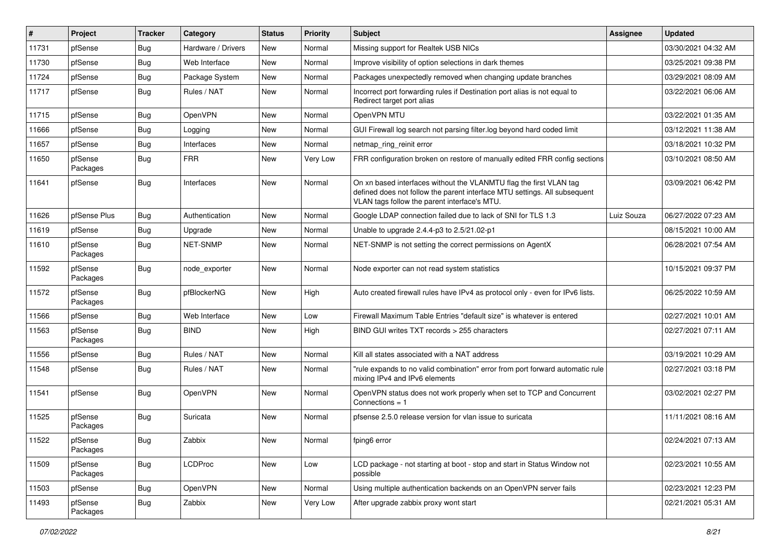| #     | Project             | <b>Tracker</b> | Category           | <b>Status</b> | <b>Priority</b> | <b>Subject</b>                                                                                                                                                                                  | Assignee   | <b>Updated</b>      |
|-------|---------------------|----------------|--------------------|---------------|-----------------|-------------------------------------------------------------------------------------------------------------------------------------------------------------------------------------------------|------------|---------------------|
| 11731 | pfSense             | <b>Bug</b>     | Hardware / Drivers | New           | Normal          | Missing support for Realtek USB NICs                                                                                                                                                            |            | 03/30/2021 04:32 AM |
| 11730 | pfSense             | Bug            | Web Interface      | <b>New</b>    | Normal          | Improve visibility of option selections in dark themes                                                                                                                                          |            | 03/25/2021 09:38 PM |
| 11724 | pfSense             | <b>Bug</b>     | Package System     | New           | Normal          | Packages unexpectedly removed when changing update branches                                                                                                                                     |            | 03/29/2021 08:09 AM |
| 11717 | pfSense             | Bug            | Rules / NAT        | New           | Normal          | Incorrect port forwarding rules if Destination port alias is not equal to<br>Redirect target port alias                                                                                         |            | 03/22/2021 06:06 AM |
| 11715 | pfSense             | Bug            | OpenVPN            | New           | Normal          | OpenVPN MTU                                                                                                                                                                                     |            | 03/22/2021 01:35 AM |
| 11666 | pfSense             | Bug            | Logging            | New           | Normal          | GUI Firewall log search not parsing filter.log beyond hard coded limit                                                                                                                          |            | 03/12/2021 11:38 AM |
| 11657 | pfSense             | <b>Bug</b>     | Interfaces         | New           | Normal          | netmap ring reinit error                                                                                                                                                                        |            | 03/18/2021 10:32 PM |
| 11650 | pfSense<br>Packages | Bug            | <b>FRR</b>         | New           | Very Low        | FRR configuration broken on restore of manually edited FRR config sections                                                                                                                      |            | 03/10/2021 08:50 AM |
| 11641 | pfSense             | Bug            | Interfaces         | New           | Normal          | On xn based interfaces without the VLANMTU flag the first VLAN tag<br>defined does not follow the parent interface MTU settings. All subsequent<br>VLAN tags follow the parent interface's MTU. |            | 03/09/2021 06:42 PM |
| 11626 | pfSense Plus        | Bug            | Authentication     | New           | Normal          | Google LDAP connection failed due to lack of SNI for TLS 1.3                                                                                                                                    | Luiz Souza | 06/27/2022 07:23 AM |
| 11619 | pfSense             | Bug            | Upgrade            | New           | Normal          | Unable to upgrade 2.4.4-p3 to 2.5/21.02-p1                                                                                                                                                      |            | 08/15/2021 10:00 AM |
| 11610 | pfSense<br>Packages | Bug            | <b>NET-SNMP</b>    | New           | Normal          | NET-SNMP is not setting the correct permissions on AgentX                                                                                                                                       |            | 06/28/2021 07:54 AM |
| 11592 | pfSense<br>Packages | Bug            | node exporter      | New           | Normal          | Node exporter can not read system statistics                                                                                                                                                    |            | 10/15/2021 09:37 PM |
| 11572 | pfSense<br>Packages | Bug            | pfBlockerNG        | New           | High            | Auto created firewall rules have IPv4 as protocol only - even for IPv6 lists.                                                                                                                   |            | 06/25/2022 10:59 AM |
| 11566 | pfSense             | Bug            | Web Interface      | New           | Low             | Firewall Maximum Table Entries "default size" is whatever is entered                                                                                                                            |            | 02/27/2021 10:01 AM |
| 11563 | pfSense<br>Packages | Bug            | <b>BIND</b>        | New           | High            | BIND GUI writes TXT records > 255 characters                                                                                                                                                    |            | 02/27/2021 07:11 AM |
| 11556 | pfSense             | Bug            | Rules / NAT        | New           | Normal          | Kill all states associated with a NAT address                                                                                                                                                   |            | 03/19/2021 10:29 AM |
| 11548 | pfSense             | Bug            | Rules / NAT        | New           | Normal          | "rule expands to no valid combination" error from port forward automatic rule<br>mixing IPv4 and IPv6 elements                                                                                  |            | 02/27/2021 03:18 PM |
| 11541 | pfSense             | Bug            | OpenVPN            | New           | Normal          | OpenVPN status does not work properly when set to TCP and Concurrent<br>Connections = $1$                                                                                                       |            | 03/02/2021 02:27 PM |
| 11525 | pfSense<br>Packages | Bug            | Suricata           | New           | Normal          | pfsense 2.5.0 release version for vlan issue to suricata                                                                                                                                        |            | 11/11/2021 08:16 AM |
| 11522 | pfSense<br>Packages | Bug            | Zabbix             | New           | Normal          | fping6 error                                                                                                                                                                                    |            | 02/24/2021 07:13 AM |
| 11509 | pfSense<br>Packages | <b>Bug</b>     | <b>LCDProc</b>     | New           | Low             | LCD package - not starting at boot - stop and start in Status Window not<br>possible                                                                                                            |            | 02/23/2021 10:55 AM |
| 11503 | pfSense             | <b>Bug</b>     | OpenVPN            | New           | Normal          | Using multiple authentication backends on an OpenVPN server fails                                                                                                                               |            | 02/23/2021 12:23 PM |
| 11493 | pfSense<br>Packages | Bug            | Zabbix             | New           | Very Low        | After upgrade zabbix proxy wont start                                                                                                                                                           |            | 02/21/2021 05:31 AM |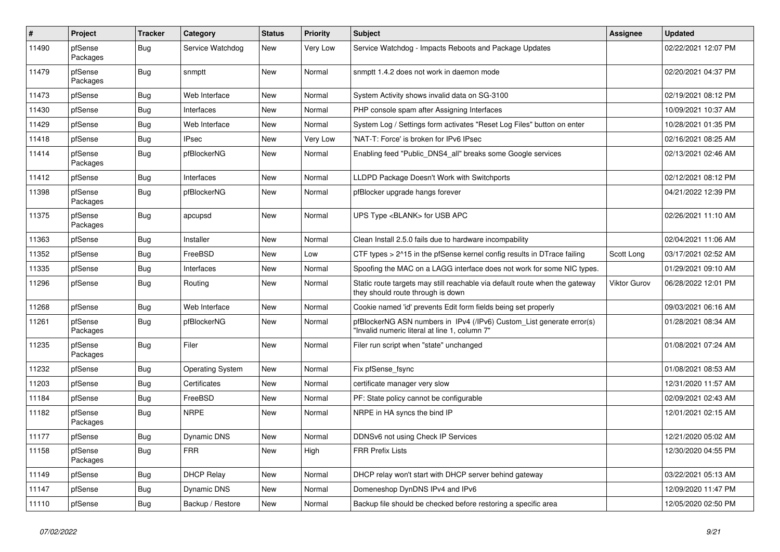| $\vert$ # | Project             | <b>Tracker</b> | Category                | <b>Status</b> | <b>Priority</b> | <b>Subject</b>                                                                                                         | Assignee            | <b>Updated</b>      |
|-----------|---------------------|----------------|-------------------------|---------------|-----------------|------------------------------------------------------------------------------------------------------------------------|---------------------|---------------------|
| 11490     | pfSense<br>Packages | Bug            | Service Watchdog        | New           | Very Low        | Service Watchdog - Impacts Reboots and Package Updates                                                                 |                     | 02/22/2021 12:07 PM |
| 11479     | pfSense<br>Packages | Bug            | snmptt                  | <b>New</b>    | Normal          | snmptt 1.4.2 does not work in daemon mode                                                                              |                     | 02/20/2021 04:37 PM |
| 11473     | pfSense             | Bug            | Web Interface           | New           | Normal          | System Activity shows invalid data on SG-3100                                                                          |                     | 02/19/2021 08:12 PM |
| 11430     | pfSense             | Bug            | Interfaces              | New           | Normal          | PHP console spam after Assigning Interfaces                                                                            |                     | 10/09/2021 10:37 AM |
| 11429     | pfSense             | Bug            | Web Interface           | New           | Normal          | System Log / Settings form activates "Reset Log Files" button on enter                                                 |                     | 10/28/2021 01:35 PM |
| 11418     | pfSense             | Bug            | <b>IPsec</b>            | New           | Very Low        | 'NAT-T: Force' is broken for IPv6 IPsec                                                                                |                     | 02/16/2021 08:25 AM |
| 11414     | pfSense<br>Packages | <b>Bug</b>     | pfBlockerNG             | New           | Normal          | Enabling feed "Public DNS4 all" breaks some Google services                                                            |                     | 02/13/2021 02:46 AM |
| 11412     | pfSense             | Bug            | Interfaces              | <b>New</b>    | Normal          | LLDPD Package Doesn't Work with Switchports                                                                            |                     | 02/12/2021 08:12 PM |
| 11398     | pfSense<br>Packages | Bug            | pfBlockerNG             | New           | Normal          | pfBlocker upgrade hangs forever                                                                                        |                     | 04/21/2022 12:39 PM |
| 11375     | pfSense<br>Packages | Bug            | apcupsd                 | <b>New</b>    | Normal          | UPS Type <blank> for USB APC</blank>                                                                                   |                     | 02/26/2021 11:10 AM |
| 11363     | pfSense             | <b>Bug</b>     | Installer               | New           | Normal          | Clean Install 2.5.0 fails due to hardware incompability                                                                |                     | 02/04/2021 11:06 AM |
| 11352     | pfSense             | Bug            | FreeBSD                 | New           | Low             | CTF types > 2^15 in the pfSense kernel config results in DTrace failing                                                | Scott Long          | 03/17/2021 02:52 AM |
| 11335     | pfSense             | Bug            | Interfaces              | New           | Normal          | Spoofing the MAC on a LAGG interface does not work for some NIC types.                                                 |                     | 01/29/2021 09:10 AM |
| 11296     | pfSense             | Bug            | Routing                 | New           | Normal          | Static route targets may still reachable via default route when the gateway<br>they should route through is down       | <b>Viktor Gurov</b> | 06/28/2022 12:01 PM |
| 11268     | pfSense             | Bug            | Web Interface           | New           | Normal          | Cookie named 'id' prevents Edit form fields being set properly                                                         |                     | 09/03/2021 06:16 AM |
| 11261     | pfSense<br>Packages | Bug            | pfBlockerNG             | New           | Normal          | pfBlockerNG ASN numbers in IPv4 (/IPv6) Custom_List generate error(s)<br>"Invalid numeric literal at line 1, column 7" |                     | 01/28/2021 08:34 AM |
| 11235     | pfSense<br>Packages | <b>Bug</b>     | Filer                   | New           | Normal          | Filer run script when "state" unchanged                                                                                |                     | 01/08/2021 07:24 AM |
| 11232     | pfSense             | Bug            | <b>Operating System</b> | New           | Normal          | Fix pfSense_fsync                                                                                                      |                     | 01/08/2021 08:53 AM |
| 11203     | pfSense             | Bug            | Certificates            | New           | Normal          | certificate manager very slow                                                                                          |                     | 12/31/2020 11:57 AM |
| 11184     | pfSense             | <b>Bug</b>     | FreeBSD                 | New           | Normal          | PF: State policy cannot be configurable                                                                                |                     | 02/09/2021 02:43 AM |
| 11182     | pfSense<br>Packages | <b>Bug</b>     | <b>NRPE</b>             | New           | Normal          | NRPE in HA syncs the bind IP                                                                                           |                     | 12/01/2021 02:15 AM |
| 11177     | pfSense             | Bug            | <b>Dynamic DNS</b>      | <b>New</b>    | Normal          | DDNSv6 not using Check IP Services                                                                                     |                     | 12/21/2020 05:02 AM |
| 11158     | pfSense<br>Packages | Bug            | <b>FRR</b>              | <b>New</b>    | High            | <b>FRR Prefix Lists</b>                                                                                                |                     | 12/30/2020 04:55 PM |
| 11149     | pfSense             | Bug            | <b>DHCP Relay</b>       | New           | Normal          | DHCP relay won't start with DHCP server behind gateway                                                                 |                     | 03/22/2021 05:13 AM |
| 11147     | pfSense             | Bug            | Dynamic DNS             | New           | Normal          | Domeneshop DynDNS IPv4 and IPv6                                                                                        |                     | 12/09/2020 11:47 PM |
| 11110     | pfSense             | Bug            | Backup / Restore        | New           | Normal          | Backup file should be checked before restoring a specific area                                                         |                     | 12/05/2020 02:50 PM |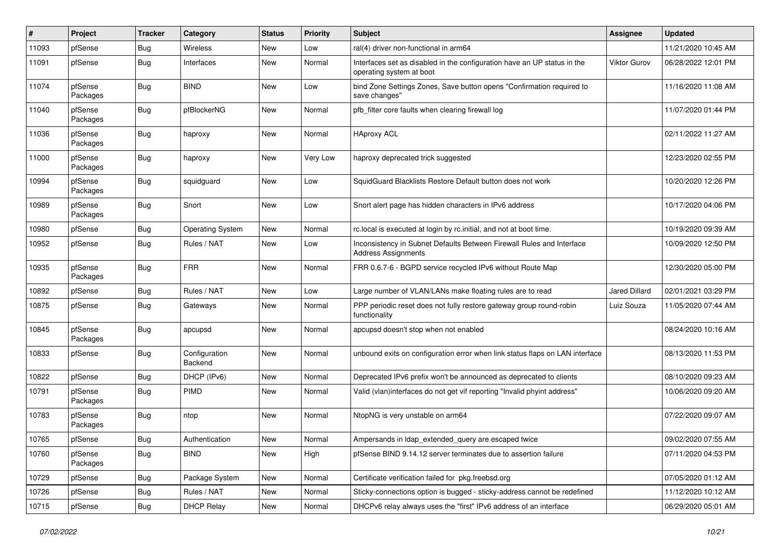| #     | Project             | <b>Tracker</b> | Category                 | <b>Status</b> | <b>Priority</b> | <b>Subject</b>                                                                                       | Assignee             | <b>Updated</b>      |
|-------|---------------------|----------------|--------------------------|---------------|-----------------|------------------------------------------------------------------------------------------------------|----------------------|---------------------|
| 11093 | pfSense             | <b>Bug</b>     | Wireless                 | New           | Low             | ral(4) driver non-functional in arm64                                                                |                      | 11/21/2020 10:45 AM |
| 11091 | pfSense             | <b>Bug</b>     | Interfaces               | New           | Normal          | Interfaces set as disabled in the configuration have an UP status in the<br>operating system at boot | Viktor Gurov         | 06/28/2022 12:01 PM |
| 11074 | pfSense<br>Packages | Bug            | <b>BIND</b>              | New           | Low             | bind Zone Settings Zones, Save button opens "Confirmation required to<br>save changes"               |                      | 11/16/2020 11:08 AM |
| 11040 | pfSense<br>Packages | Bug            | pfBlockerNG              | <b>New</b>    | Normal          | pfb_filter core faults when clearing firewall log                                                    |                      | 11/07/2020 01:44 PM |
| 11036 | pfSense<br>Packages | <b>Bug</b>     | haproxy                  | New           | Normal          | <b>HAproxy ACL</b>                                                                                   |                      | 02/11/2022 11:27 AM |
| 11000 | pfSense<br>Packages | Bug            | haproxy                  | New           | Very Low        | haproxy deprecated trick suggested                                                                   |                      | 12/23/2020 02:55 PM |
| 10994 | pfSense<br>Packages | <b>Bug</b>     | squidguard               | New           | Low             | SquidGuard Blacklists Restore Default button does not work                                           |                      | 10/20/2020 12:26 PM |
| 10989 | pfSense<br>Packages | i Bug          | Snort                    | <b>New</b>    | Low             | Snort alert page has hidden characters in IPv6 address                                               |                      | 10/17/2020 04:06 PM |
| 10980 | pfSense             | <b>Bug</b>     | <b>Operating System</b>  | New           | Normal          | rc.local is executed at login by rc.initial, and not at boot time.                                   |                      | 10/19/2020 09:39 AM |
| 10952 | pfSense             | <b>Bug</b>     | Rules / NAT              | New           | Low             | Inconsistency in Subnet Defaults Between Firewall Rules and Interface<br><b>Address Assignments</b>  |                      | 10/09/2020 12:50 PM |
| 10935 | pfSense<br>Packages | <b>Bug</b>     | <b>FRR</b>               | <b>New</b>    | Normal          | FRR 0.6.7-6 - BGPD service recycled IPv6 without Route Map                                           |                      | 12/30/2020 05:00 PM |
| 10892 | pfSense             | <b>Bug</b>     | Rules / NAT              | <b>New</b>    | Low             | Large number of VLAN/LANs make floating rules are to read                                            | <b>Jared Dillard</b> | 02/01/2021 03:29 PM |
| 10875 | pfSense             | <b>Bug</b>     | Gateways                 | New           | Normal          | PPP periodic reset does not fully restore gateway group round-robin<br>functionality                 | Luiz Souza           | 11/05/2020 07:44 AM |
| 10845 | pfSense<br>Packages | Bug            | apcupsd                  | <b>New</b>    | Normal          | apcupsd doesn't stop when not enabled                                                                |                      | 08/24/2020 10:16 AM |
| 10833 | pfSense             | <b>Bug</b>     | Configuration<br>Backend | New           | Normal          | unbound exits on configuration error when link status flaps on LAN interface                         |                      | 08/13/2020 11:53 PM |
| 10822 | pfSense             | <b>Bug</b>     | DHCP (IPv6)              | New           | Normal          | Deprecated IPv6 prefix won't be announced as deprecated to clients                                   |                      | 08/10/2020 09:23 AM |
| 10791 | pfSense<br>Packages | Bug            | PIMD                     | New           | Normal          | Valid (vlan)interfaces do not get vif reporting "Invalid phyint address"                             |                      | 10/06/2020 09:20 AM |
| 10783 | pfSense<br>Packages | <b>Bug</b>     | ntop                     | <b>New</b>    | Normal          | NtopNG is very unstable on arm64                                                                     |                      | 07/22/2020 09:07 AM |
| 10765 | pfSense             | Bug            | Authentication           | New           | Normal          | Ampersands in Idap_extended_query are escaped twice                                                  |                      | 09/02/2020 07:55 AM |
| 10760 | pfSense<br>Packages | <b>Bug</b>     | <b>BIND</b>              | New           | High            | pfSense BIND 9.14.12 server terminates due to assertion failure                                      |                      | 07/11/2020 04:53 PM |
| 10729 | pfSense             | <b>Bug</b>     | Package System           | New           | Normal          | Certificate verification failed for pkg.freebsd.org                                                  |                      | 07/05/2020 01:12 AM |
| 10726 | pfSense             | <b>Bug</b>     | Rules / NAT              | New           | Normal          | Sticky-connections option is bugged - sticky-address cannot be redefined                             |                      | 11/12/2020 10:12 AM |
| 10715 | pfSense             | Bug            | <b>DHCP Relay</b>        | New           | Normal          | DHCPv6 relay always uses the "first" IPv6 address of an interface                                    |                      | 06/29/2020 05:01 AM |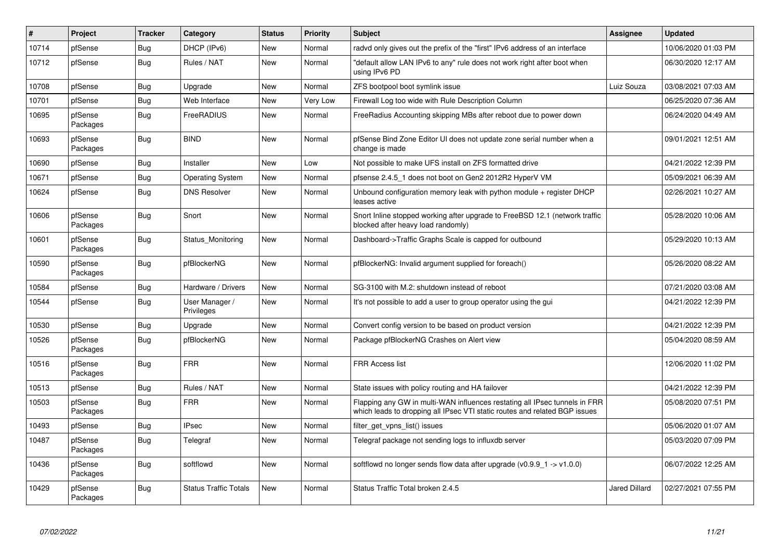| $\pmb{\#}$ | Project             | <b>Tracker</b> | Category                     | <b>Status</b> | <b>Priority</b> | <b>Subject</b>                                                                                                                                           | Assignee             | <b>Updated</b>      |
|------------|---------------------|----------------|------------------------------|---------------|-----------------|----------------------------------------------------------------------------------------------------------------------------------------------------------|----------------------|---------------------|
| 10714      | pfSense             | Bug            | DHCP (IPv6)                  | <b>New</b>    | Normal          | radvd only gives out the prefix of the "first" IPv6 address of an interface                                                                              |                      | 10/06/2020 01:03 PM |
| 10712      | pfSense             | <b>Bug</b>     | Rules / NAT                  | <b>New</b>    | Normal          | "default allow LAN IPv6 to any" rule does not work right after boot when<br>using IPv6 PD                                                                |                      | 06/30/2020 12:17 AM |
| 10708      | pfSense             | <b>Bug</b>     | Upgrade                      | <b>New</b>    | Normal          | ZFS bootpool boot symlink issue                                                                                                                          | Luiz Souza           | 03/08/2021 07:03 AM |
| 10701      | pfSense             | <b>Bug</b>     | Web Interface                | <b>New</b>    | Very Low        | Firewall Log too wide with Rule Description Column                                                                                                       |                      | 06/25/2020 07:36 AM |
| 10695      | pfSense<br>Packages | <b>Bug</b>     | FreeRADIUS                   | <b>New</b>    | Normal          | FreeRadius Accounting skipping MBs after reboot due to power down                                                                                        |                      | 06/24/2020 04:49 AM |
| 10693      | pfSense<br>Packages | <b>Bug</b>     | <b>BIND</b>                  | <b>New</b>    | Normal          | pfSense Bind Zone Editor UI does not update zone serial number when a<br>change is made                                                                  |                      | 09/01/2021 12:51 AM |
| 10690      | pfSense             | <b>Bug</b>     | Installer                    | <b>New</b>    | Low             | Not possible to make UFS install on ZFS formatted drive                                                                                                  |                      | 04/21/2022 12:39 PM |
| 10671      | pfSense             | <b>Bug</b>     | <b>Operating System</b>      | New           | Normal          | pfsense 2.4.5 1 does not boot on Gen2 2012R2 HyperV VM                                                                                                   |                      | 05/09/2021 06:39 AM |
| 10624      | pfSense             | <b>Bug</b>     | <b>DNS Resolver</b>          | <b>New</b>    | Normal          | Unbound configuration memory leak with python module + register DHCP<br>leases active                                                                    |                      | 02/26/2021 10:27 AM |
| 10606      | pfSense<br>Packages | <b>Bug</b>     | Snort                        | New           | Normal          | Snort Inline stopped working after upgrade to FreeBSD 12.1 (network traffic<br>blocked after heavy load randomly)                                        |                      | 05/28/2020 10:06 AM |
| 10601      | pfSense<br>Packages | Bug            | Status Monitoring            | New           | Normal          | Dashboard->Traffic Graphs Scale is capped for outbound                                                                                                   |                      | 05/29/2020 10:13 AM |
| 10590      | pfSense<br>Packages | Bug            | pfBlockerNG                  | <b>New</b>    | Normal          | pfBlockerNG: Invalid argument supplied for foreach()                                                                                                     |                      | 05/26/2020 08:22 AM |
| 10584      | pfSense             | <b>Bug</b>     | Hardware / Drivers           | New           | Normal          | SG-3100 with M.2: shutdown instead of reboot                                                                                                             |                      | 07/21/2020 03:08 AM |
| 10544      | pfSense             | <b>Bug</b>     | User Manager /<br>Privileges | New           | Normal          | It's not possible to add a user to group operator using the gui                                                                                          |                      | 04/21/2022 12:39 PM |
| 10530      | pfSense             | <b>Bug</b>     | Upgrade                      | <b>New</b>    | Normal          | Convert config version to be based on product version                                                                                                    |                      | 04/21/2022 12:39 PM |
| 10526      | pfSense<br>Packages | Bug            | pfBlockerNG                  | New           | Normal          | Package pfBlockerNG Crashes on Alert view                                                                                                                |                      | 05/04/2020 08:59 AM |
| 10516      | pfSense<br>Packages | <b>Bug</b>     | <b>FRR</b>                   | <b>New</b>    | Normal          | <b>FRR Access list</b>                                                                                                                                   |                      | 12/06/2020 11:02 PM |
| 10513      | pfSense             | <b>Bug</b>     | Rules / NAT                  | <b>New</b>    | Normal          | State issues with policy routing and HA failover                                                                                                         |                      | 04/21/2022 12:39 PM |
| 10503      | pfSense<br>Packages | <b>Bug</b>     | <b>FRR</b>                   | New           | Normal          | Flapping any GW in multi-WAN influences restating all IPsec tunnels in FRR<br>which leads to dropping all IPsec VTI static routes and related BGP issues |                      | 05/08/2020 07:51 PM |
| 10493      | pfSense             | <b>Bug</b>     | <b>IPsec</b>                 | <b>New</b>    | Normal          | filter get vpns list() issues                                                                                                                            |                      | 05/06/2020 01:07 AM |
| 10487      | pfSense<br>Packages | Bug            | Telegraf                     | New           | Normal          | Telegraf package not sending logs to influxdb server                                                                                                     |                      | 05/03/2020 07:09 PM |
| 10436      | pfSense<br>Packages | Bug            | softflowd                    | <b>New</b>    | Normal          | softflowd no longer sends flow data after upgrade $(v0.9.9 \t1 > v1.0.0)$                                                                                |                      | 06/07/2022 12:25 AM |
| 10429      | pfSense<br>Packages | <b>Bug</b>     | <b>Status Traffic Totals</b> | New           | Normal          | Status Traffic Total broken 2.4.5                                                                                                                        | <b>Jared Dillard</b> | 02/27/2021 07:55 PM |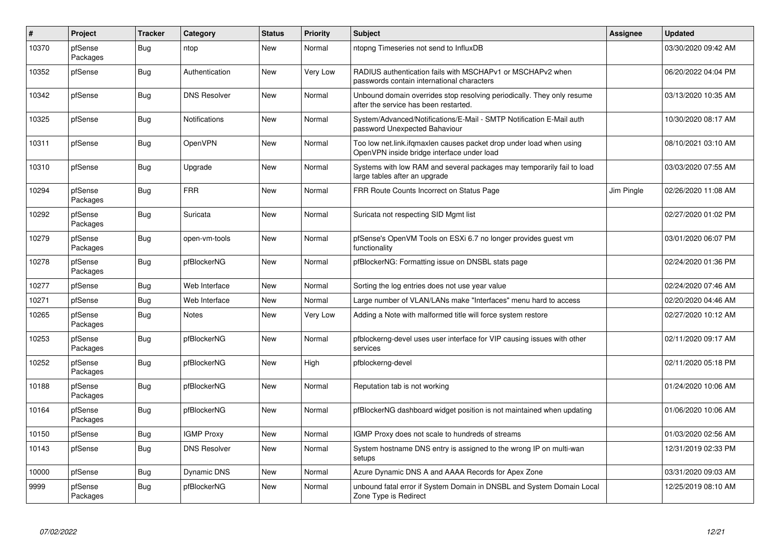| $\vert$ # | Project             | <b>Tracker</b> | Category             | <b>Status</b> | <b>Priority</b> | <b>Subject</b>                                                                                                    | Assignee   | <b>Updated</b>      |
|-----------|---------------------|----------------|----------------------|---------------|-----------------|-------------------------------------------------------------------------------------------------------------------|------------|---------------------|
| 10370     | pfSense<br>Packages | Bug            | ntop                 | New           | Normal          | ntopng Timeseries not send to InfluxDB                                                                            |            | 03/30/2020 09:42 AM |
| 10352     | pfSense             | Bug            | Authentication       | <b>New</b>    | Very Low        | RADIUS authentication fails with MSCHAPv1 or MSCHAPv2 when<br>passwords contain international characters          |            | 06/20/2022 04:04 PM |
| 10342     | pfSense             | Bug            | <b>DNS Resolver</b>  | <b>New</b>    | Normal          | Unbound domain overrides stop resolving periodically. They only resume<br>after the service has been restarted.   |            | 03/13/2020 10:35 AM |
| 10325     | pfSense             | <b>Bug</b>     | <b>Notifications</b> | New           | Normal          | System/Advanced/Notifications/E-Mail - SMTP Notification E-Mail auth<br>password Unexpected Bahaviour             |            | 10/30/2020 08:17 AM |
| 10311     | pfSense             | <b>Bug</b>     | OpenVPN              | <b>New</b>    | Normal          | Too low net.link.ifqmaxlen causes packet drop under load when using<br>OpenVPN inside bridge interface under load |            | 08/10/2021 03:10 AM |
| 10310     | pfSense             | <b>Bug</b>     | Upgrade              | <b>New</b>    | Normal          | Systems with low RAM and several packages may temporarily fail to load<br>large tables after an upgrade           |            | 03/03/2020 07:55 AM |
| 10294     | pfSense<br>Packages | <b>Bug</b>     | <b>FRR</b>           | <b>New</b>    | Normal          | FRR Route Counts Incorrect on Status Page                                                                         | Jim Pingle | 02/26/2020 11:08 AM |
| 10292     | pfSense<br>Packages | <b>Bug</b>     | Suricata             | <b>New</b>    | Normal          | Suricata not respecting SID Mgmt list                                                                             |            | 02/27/2020 01:02 PM |
| 10279     | pfSense<br>Packages | Bug            | open-vm-tools        | <b>New</b>    | Normal          | pfSense's OpenVM Tools on ESXi 6.7 no longer provides guest vm<br>functionality                                   |            | 03/01/2020 06:07 PM |
| 10278     | pfSense<br>Packages | Bug            | pfBlockerNG          | New           | Normal          | pfBlockerNG: Formatting issue on DNSBL stats page                                                                 |            | 02/24/2020 01:36 PM |
| 10277     | pfSense             | <b>Bug</b>     | Web Interface        | <b>New</b>    | Normal          | Sorting the log entries does not use year value                                                                   |            | 02/24/2020 07:46 AM |
| 10271     | pfSense             | Bug            | Web Interface        | New           | Normal          | Large number of VLAN/LANs make "Interfaces" menu hard to access                                                   |            | 02/20/2020 04:46 AM |
| 10265     | pfSense<br>Packages | Bug            | Notes                | <b>New</b>    | Very Low        | Adding a Note with malformed title will force system restore                                                      |            | 02/27/2020 10:12 AM |
| 10253     | pfSense<br>Packages | <b>Bug</b>     | pfBlockerNG          | <b>New</b>    | Normal          | pfblockerng-devel uses user interface for VIP causing issues with other<br>services                               |            | 02/11/2020 09:17 AM |
| 10252     | pfSense<br>Packages | Bug            | pfBlockerNG          | <b>New</b>    | High            | pfblockerng-devel                                                                                                 |            | 02/11/2020 05:18 PM |
| 10188     | pfSense<br>Packages | Bug            | pfBlockerNG          | <b>New</b>    | Normal          | Reputation tab is not working                                                                                     |            | 01/24/2020 10:06 AM |
| 10164     | pfSense<br>Packages | Bug            | pfBlockerNG          | New           | Normal          | pfBlockerNG dashboard widget position is not maintained when updating                                             |            | 01/06/2020 10:06 AM |
| 10150     | pfSense             | Bug            | <b>IGMP Proxy</b>    | New           | Normal          | IGMP Proxy does not scale to hundreds of streams                                                                  |            | 01/03/2020 02:56 AM |
| 10143     | pfSense             | <b>Bug</b>     | <b>DNS Resolver</b>  | New           | Normal          | System hostname DNS entry is assigned to the wrong IP on multi-wan<br>setups                                      |            | 12/31/2019 02:33 PM |
| 10000     | pfSense             | Bug            | Dynamic DNS          | <b>New</b>    | Normal          | Azure Dynamic DNS A and AAAA Records for Apex Zone                                                                |            | 03/31/2020 09:03 AM |
| 9999      | pfSense<br>Packages | <b>Bug</b>     | pfBlockerNG          | <b>New</b>    | Normal          | unbound fatal error if System Domain in DNSBL and System Domain Local<br>Zone Type is Redirect                    |            | 12/25/2019 08:10 AM |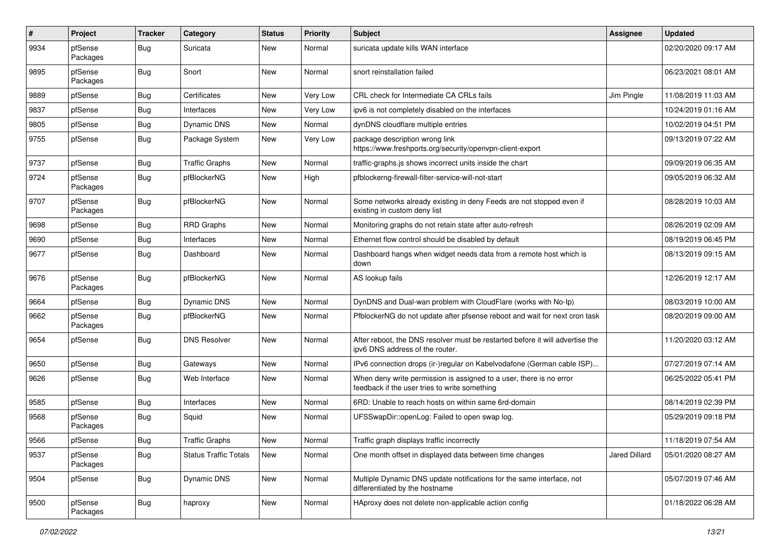| $\pmb{\#}$ | Project             | <b>Tracker</b> | Category                     | <b>Status</b> | <b>Priority</b> | <b>Subject</b>                                                                                                       | Assignee      | <b>Updated</b>      |
|------------|---------------------|----------------|------------------------------|---------------|-----------------|----------------------------------------------------------------------------------------------------------------------|---------------|---------------------|
| 9934       | pfSense<br>Packages | Bug            | Suricata                     | New           | Normal          | suricata update kills WAN interface                                                                                  |               | 02/20/2020 09:17 AM |
| 9895       | pfSense<br>Packages | Bug            | Snort                        | <b>New</b>    | Normal          | snort reinstallation failed                                                                                          |               | 06/23/2021 08:01 AM |
| 9889       | pfSense             | Bug            | Certificates                 | <b>New</b>    | Very Low        | CRL check for Intermediate CA CRLs fails                                                                             | Jim Pingle    | 11/08/2019 11:03 AM |
| 9837       | pfSense             | Bug            | Interfaces                   | <b>New</b>    | Very Low        | ipv6 is not completely disabled on the interfaces                                                                    |               | 10/24/2019 01:16 AM |
| 9805       | pfSense             | Bug            | Dynamic DNS                  | <b>New</b>    | Normal          | dynDNS cloudflare multiple entries                                                                                   |               | 10/02/2019 04:51 PM |
| 9755       | pfSense             | <b>Bug</b>     | Package System               | New           | Very Low        | package description wrong link<br>https://www.freshports.org/security/openvpn-client-export                          |               | 09/13/2019 07:22 AM |
| 9737       | pfSense             | <b>Bug</b>     | <b>Traffic Graphs</b>        | <b>New</b>    | Normal          | traffic-graphs.js shows incorrect units inside the chart                                                             |               | 09/09/2019 06:35 AM |
| 9724       | pfSense<br>Packages | <b>Bug</b>     | pfBlockerNG                  | <b>New</b>    | High            | pfblockerng-firewall-filter-service-will-not-start                                                                   |               | 09/05/2019 06:32 AM |
| 9707       | pfSense<br>Packages | <b>Bug</b>     | pfBlockerNG                  | <b>New</b>    | Normal          | Some networks already existing in deny Feeds are not stopped even if<br>existing in custom deny list                 |               | 08/28/2019 10:03 AM |
| 9698       | pfSense             | Bug            | RRD Graphs                   | <b>New</b>    | Normal          | Monitoring graphs do not retain state after auto-refresh                                                             |               | 08/26/2019 02:09 AM |
| 9690       | pfSense             | Bug            | Interfaces                   | <b>New</b>    | Normal          | Ethernet flow control should be disabled by default                                                                  |               | 08/19/2019 06:45 PM |
| 9677       | pfSense             | Bug            | Dashboard                    | <b>New</b>    | Normal          | Dashboard hangs when widget needs data from a remote host which is<br>down                                           |               | 08/13/2019 09:15 AM |
| 9676       | pfSense<br>Packages | <b>Bug</b>     | pfBlockerNG                  | <b>New</b>    | Normal          | AS lookup fails                                                                                                      |               | 12/26/2019 12:17 AM |
| 9664       | pfSense             | <b>Bug</b>     | <b>Dynamic DNS</b>           | <b>New</b>    | Normal          | DynDNS and Dual-wan problem with CloudFlare (works with No-Ip)                                                       |               | 08/03/2019 10:00 AM |
| 9662       | pfSense<br>Packages | <b>Bug</b>     | pfBlockerNG                  | <b>New</b>    | Normal          | PfblockerNG do not update after pfsense reboot and wait for next cron task                                           |               | 08/20/2019 09:00 AM |
| 9654       | pfSense             | <b>Bug</b>     | <b>DNS Resolver</b>          | <b>New</b>    | Normal          | After reboot, the DNS resolver must be restarted before it will advertise the<br>ipv6 DNS address of the router.     |               | 11/20/2020 03:12 AM |
| 9650       | pfSense             | Bug            | Gateways                     | <b>New</b>    | Normal          | IPv6 connection drops (ir-)regular on Kabelvodafone (German cable ISP)                                               |               | 07/27/2019 07:14 AM |
| 9626       | pfSense             | Bug            | Web Interface                | <b>New</b>    | Normal          | When deny write permission is assigned to a user, there is no error<br>feedback if the user tries to write something |               | 06/25/2022 05:41 PM |
| 9585       | pfSense             | <b>Bug</b>     | Interfaces                   | <b>New</b>    | Normal          | 6RD: Unable to reach hosts on within same 6rd-domain                                                                 |               | 08/14/2019 02:39 PM |
| 9568       | pfSense<br>Packages | Bug            | Squid                        | <b>New</b>    | Normal          | UFSSwapDir::openLog: Failed to open swap log.                                                                        |               | 05/29/2019 09:18 PM |
| 9566       | pfSense             | Bug            | <b>Traffic Graphs</b>        | New           | Normal          | Traffic graph displays traffic incorrectly                                                                           |               | 11/18/2019 07:54 AM |
| 9537       | pfSense<br>Packages | Bug            | <b>Status Traffic Totals</b> | New           | Normal          | One month offset in displayed data between time changes                                                              | Jared Dillard | 05/01/2020 08:27 AM |
| 9504       | pfSense             | <b>Bug</b>     | Dynamic DNS                  | New           | Normal          | Multiple Dynamic DNS update notifications for the same interface, not<br>differentiated by the hostname              |               | 05/07/2019 07:46 AM |
| 9500       | pfSense<br>Packages | Bug            | haproxy                      | New           | Normal          | HAproxy does not delete non-applicable action config                                                                 |               | 01/18/2022 06:28 AM |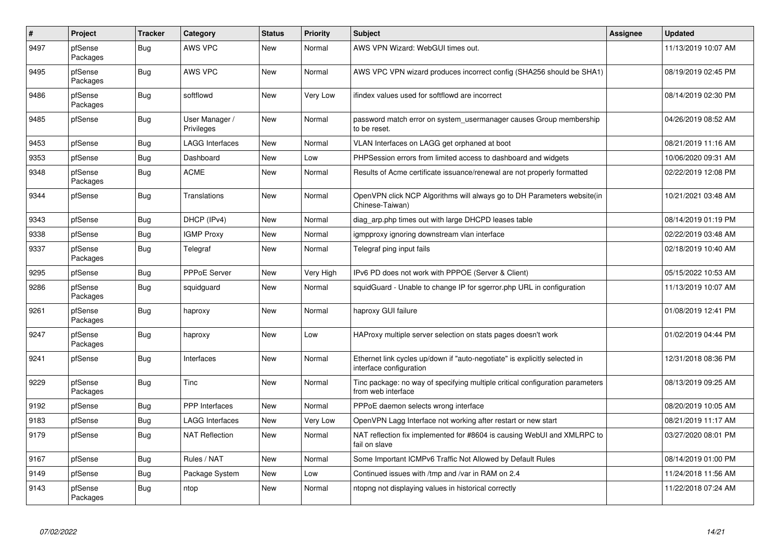| $\vert$ # | Project             | <b>Tracker</b> | Category                     | <b>Status</b> | <b>Priority</b> | <b>Subject</b>                                                                                        | Assignee | <b>Updated</b>      |
|-----------|---------------------|----------------|------------------------------|---------------|-----------------|-------------------------------------------------------------------------------------------------------|----------|---------------------|
| 9497      | pfSense<br>Packages | Bug            | AWS VPC                      | New           | Normal          | AWS VPN Wizard: WebGUI times out.                                                                     |          | 11/13/2019 10:07 AM |
| 9495      | pfSense<br>Packages | Bug            | <b>AWS VPC</b>               | New           | Normal          | AWS VPC VPN wizard produces incorrect config (SHA256 should be SHA1)                                  |          | 08/19/2019 02:45 PM |
| 9486      | pfSense<br>Packages | Bug            | softflowd                    | New           | Very Low        | ifindex values used for softflowd are incorrect                                                       |          | 08/14/2019 02:30 PM |
| 9485      | pfSense             | <b>Bug</b>     | User Manager /<br>Privileges | New           | Normal          | password match error on system usermanager causes Group membership<br>to be reset.                    |          | 04/26/2019 08:52 AM |
| 9453      | pfSense             | <b>Bug</b>     | <b>LAGG Interfaces</b>       | <b>New</b>    | Normal          | VLAN Interfaces on LAGG get orphaned at boot                                                          |          | 08/21/2019 11:16 AM |
| 9353      | pfSense             | <b>Bug</b>     | Dashboard                    | <b>New</b>    | Low             | PHPSession errors from limited access to dashboard and widgets                                        |          | 10/06/2020 09:31 AM |
| 9348      | pfSense<br>Packages | <b>Bug</b>     | <b>ACME</b>                  | <b>New</b>    | Normal          | Results of Acme certificate issuance/renewal are not properly formatted                               |          | 02/22/2019 12:08 PM |
| 9344      | pfSense             | Bug            | Translations                 | <b>New</b>    | Normal          | OpenVPN click NCP Algorithms will always go to DH Parameters website(in<br>Chinese-Taiwan)            |          | 10/21/2021 03:48 AM |
| 9343      | pfSense             | <b>Bug</b>     | DHCP (IPv4)                  | <b>New</b>    | Normal          | diag_arp.php times out with large DHCPD leases table                                                  |          | 08/14/2019 01:19 PM |
| 9338      | pfSense             | Bug            | <b>IGMP Proxy</b>            | New           | Normal          | igmpproxy ignoring downstream vlan interface                                                          |          | 02/22/2019 03:48 AM |
| 9337      | pfSense<br>Packages | <b>Bug</b>     | Telegraf                     | <b>New</b>    | Normal          | Telegraf ping input fails                                                                             |          | 02/18/2019 10:40 AM |
| 9295      | pfSense             | <b>Bug</b>     | <b>PPPoE Server</b>          | <b>New</b>    | Very High       | IPv6 PD does not work with PPPOE (Server & Client)                                                    |          | 05/15/2022 10:53 AM |
| 9286      | pfSense<br>Packages | <b>Bug</b>     | squidguard                   | <b>New</b>    | Normal          | squidGuard - Unable to change IP for sgerror.php URL in configuration                                 |          | 11/13/2019 10:07 AM |
| 9261      | pfSense<br>Packages | Bug            | haproxy                      | <b>New</b>    | Normal          | haproxy GUI failure                                                                                   |          | 01/08/2019 12:41 PM |
| 9247      | pfSense<br>Packages | <b>Bug</b>     | haproxy                      | <b>New</b>    | Low             | HAProxy multiple server selection on stats pages doesn't work                                         |          | 01/02/2019 04:44 PM |
| 9241      | pfSense             | <b>Bug</b>     | Interfaces                   | <b>New</b>    | Normal          | Ethernet link cycles up/down if "auto-negotiate" is explicitly selected in<br>interface configuration |          | 12/31/2018 08:36 PM |
| 9229      | pfSense<br>Packages | Bug            | Tinc                         | <b>New</b>    | Normal          | Tinc package: no way of specifying multiple critical configuration parameters<br>from web interface   |          | 08/13/2019 09:25 AM |
| 9192      | pfSense             | <b>Bug</b>     | PPP Interfaces               | <b>New</b>    | Normal          | PPPoE daemon selects wrong interface                                                                  |          | 08/20/2019 10:05 AM |
| 9183      | pfSense             | <b>Bug</b>     | <b>LAGG Interfaces</b>       | New           | Very Low        | OpenVPN Lagg Interface not working after restart or new start                                         |          | 08/21/2019 11:17 AM |
| 9179      | pfSense             | <b>Bug</b>     | <b>NAT Reflection</b>        | <b>New</b>    | Normal          | NAT reflection fix implemented for #8604 is causing WebUI and XMLRPC to<br>fail on slave              |          | 03/27/2020 08:01 PM |
| 9167      | pfSense             | Bug            | Rules / NAT                  | <b>New</b>    | Normal          | Some Important ICMPv6 Traffic Not Allowed by Default Rules                                            |          | 08/14/2019 01:00 PM |
| 9149      | pfSense             | <b>Bug</b>     | Package System               | <b>New</b>    | Low             | Continued issues with /tmp and /var in RAM on 2.4                                                     |          | 11/24/2018 11:56 AM |
| 9143      | pfSense<br>Packages | <b>Bug</b>     | ntop                         | New           | Normal          | ntopng not displaying values in historical correctly                                                  |          | 11/22/2018 07:24 AM |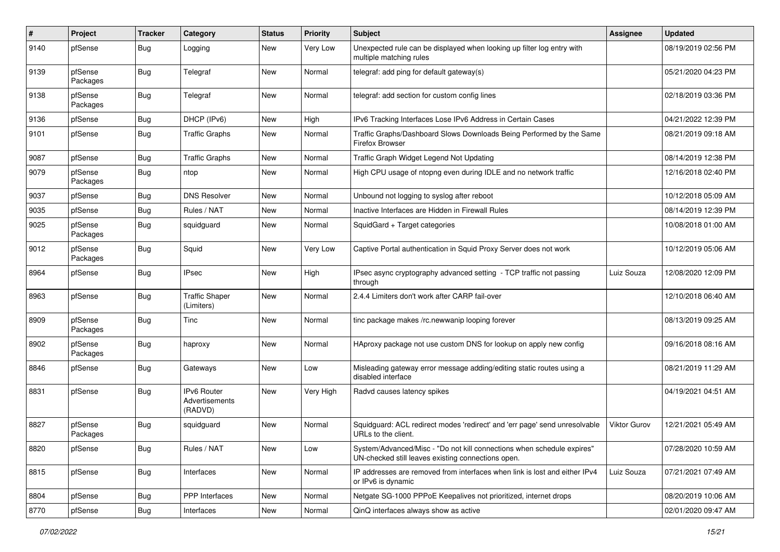| #    | Project             | <b>Tracker</b> | Category                                 | <b>Status</b> | <b>Priority</b> | <b>Subject</b>                                                                                                               | Assignee            | <b>Updated</b>      |
|------|---------------------|----------------|------------------------------------------|---------------|-----------------|------------------------------------------------------------------------------------------------------------------------------|---------------------|---------------------|
| 9140 | pfSense             | <b>Bug</b>     | Logging                                  | New           | Very Low        | Unexpected rule can be displayed when looking up filter log entry with<br>multiple matching rules                            |                     | 08/19/2019 02:56 PM |
| 9139 | pfSense<br>Packages | Bug            | Telegraf                                 | <b>New</b>    | Normal          | telegraf: add ping for default gateway(s)                                                                                    |                     | 05/21/2020 04:23 PM |
| 9138 | pfSense<br>Packages | <b>Bug</b>     | Telegraf                                 | New           | Normal          | telegraf: add section for custom config lines                                                                                |                     | 02/18/2019 03:36 PM |
| 9136 | pfSense             | Bug            | DHCP (IPv6)                              | New           | High            | IPv6 Tracking Interfaces Lose IPv6 Address in Certain Cases                                                                  |                     | 04/21/2022 12:39 PM |
| 9101 | pfSense             | <b>Bug</b>     | <b>Traffic Graphs</b>                    | New           | Normal          | Traffic Graphs/Dashboard Slows Downloads Being Performed by the Same<br><b>Firefox Browser</b>                               |                     | 08/21/2019 09:18 AM |
| 9087 | pfSense             | Bug            | <b>Traffic Graphs</b>                    | New           | Normal          | Traffic Graph Widget Legend Not Updating                                                                                     |                     | 08/14/2019 12:38 PM |
| 9079 | pfSense<br>Packages | Bug            | ntop                                     | New           | Normal          | High CPU usage of ntopng even during IDLE and no network traffic                                                             |                     | 12/16/2018 02:40 PM |
| 9037 | pfSense             | <b>Bug</b>     | <b>DNS Resolver</b>                      | New           | Normal          | Unbound not logging to syslog after reboot                                                                                   |                     | 10/12/2018 05:09 AM |
| 9035 | pfSense             | Bug            | Rules / NAT                              | New           | Normal          | Inactive Interfaces are Hidden in Firewall Rules                                                                             |                     | 08/14/2019 12:39 PM |
| 9025 | pfSense<br>Packages | <b>Bug</b>     | squidguard                               | New           | Normal          | SquidGard + Target categories                                                                                                |                     | 10/08/2018 01:00 AM |
| 9012 | pfSense<br>Packages | <b>Bug</b>     | Squid                                    | New           | Very Low        | Captive Portal authentication in Squid Proxy Server does not work                                                            |                     | 10/12/2019 05:06 AM |
| 8964 | pfSense             | Bug            | <b>IPsec</b>                             | New           | High            | IPsec async cryptography advanced setting - TCP traffic not passing<br>through                                               | Luiz Souza          | 12/08/2020 12:09 PM |
| 8963 | pfSense             | <b>Bug</b>     | <b>Traffic Shaper</b><br>(Limiters)      | <b>New</b>    | Normal          | 2.4.4 Limiters don't work after CARP fail-over                                                                               |                     | 12/10/2018 06:40 AM |
| 8909 | pfSense<br>Packages | <b>Bug</b>     | Tinc                                     | <b>New</b>    | Normal          | tinc package makes /rc.newwanip looping forever                                                                              |                     | 08/13/2019 09:25 AM |
| 8902 | pfSense<br>Packages | Bug            | haproxy                                  | <b>New</b>    | Normal          | HAproxy package not use custom DNS for lookup on apply new config                                                            |                     | 09/16/2018 08:16 AM |
| 8846 | pfSense             | Bug            | Gateways                                 | New           | Low             | Misleading gateway error message adding/editing static routes using a<br>disabled interface                                  |                     | 08/21/2019 11:29 AM |
| 8831 | pfSense             | Bug            | IPv6 Router<br>Advertisements<br>(RADVD) | New           | Very High       | Radvd causes latency spikes                                                                                                  |                     | 04/19/2021 04:51 AM |
| 8827 | pfSense<br>Packages | <b>Bug</b>     | squidguard                               | New           | Normal          | Squidguard: ACL redirect modes 'redirect' and 'err page' send unresolvable<br>URLs to the client.                            | <b>Viktor Gurov</b> | 12/21/2021 05:49 AM |
| 8820 | pfSense             | <b>Bug</b>     | Rules / NAT                              | New           | Low             | System/Advanced/Misc - "Do not kill connections when schedule expires"<br>UN-checked still leaves existing connections open. |                     | 07/28/2020 10:59 AM |
| 8815 | pfSense             | <b>Bug</b>     | Interfaces                               | New           | Normal          | IP addresses are removed from interfaces when link is lost and either IPv4<br>or IPv6 is dynamic                             | Luiz Souza          | 07/21/2021 07:49 AM |
| 8804 | pfSense             | Bug            | PPP Interfaces                           | New           | Normal          | Netgate SG-1000 PPPoE Keepalives not prioritized, internet drops                                                             |                     | 08/20/2019 10:06 AM |
| 8770 | pfSense             | <b>Bug</b>     | Interfaces                               | New           | Normal          | QinQ interfaces always show as active                                                                                        |                     | 02/01/2020 09:47 AM |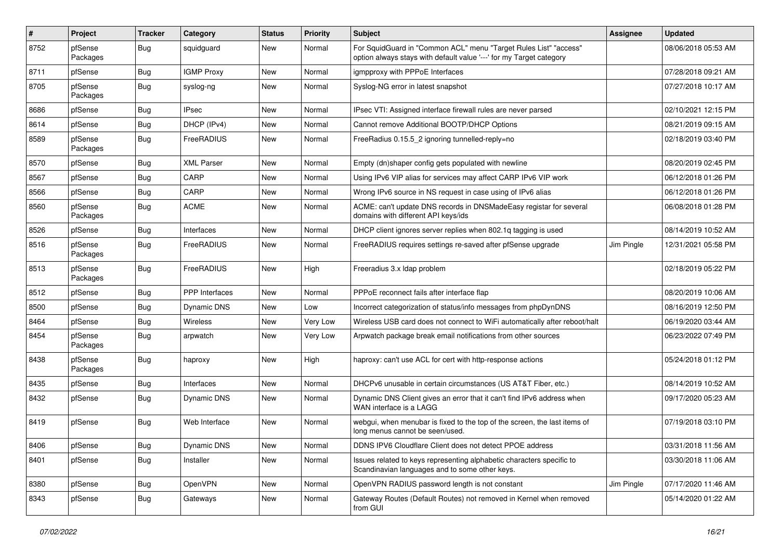| #    | Project             | <b>Tracker</b> | Category              | <b>Status</b> | Priority | <b>Subject</b>                                                                                                                          | Assignee   | <b>Updated</b>      |
|------|---------------------|----------------|-----------------------|---------------|----------|-----------------------------------------------------------------------------------------------------------------------------------------|------------|---------------------|
| 8752 | pfSense<br>Packages | <b>Bug</b>     | squidguard            | New           | Normal   | For SquidGuard in "Common ACL" menu "Target Rules List" "access"<br>option always stays with default value '---' for my Target category |            | 08/06/2018 05:53 AM |
| 8711 | pfSense             | Bug            | <b>IGMP Proxy</b>     | New           | Normal   | igmpproxy with PPPoE Interfaces                                                                                                         |            | 07/28/2018 09:21 AM |
| 8705 | pfSense<br>Packages | <b>Bug</b>     | syslog-ng             | New           | Normal   | Syslog-NG error in latest snapshot                                                                                                      |            | 07/27/2018 10:17 AM |
| 8686 | pfSense             | Bug            | <b>IPsec</b>          | New           | Normal   | IPsec VTI: Assigned interface firewall rules are never parsed                                                                           |            | 02/10/2021 12:15 PM |
| 8614 | pfSense             | Bug            | DHCP (IPv4)           | New           | Normal   | Cannot remove Additional BOOTP/DHCP Options                                                                                             |            | 08/21/2019 09:15 AM |
| 8589 | pfSense<br>Packages | <b>Bug</b>     | FreeRADIUS            | New           | Normal   | FreeRadius 0.15.5_2 ignoring tunnelled-reply=no                                                                                         |            | 02/18/2019 03:40 PM |
| 8570 | pfSense             | <b>Bug</b>     | <b>XML Parser</b>     | New           | Normal   | Empty (dn)shaper config gets populated with newline                                                                                     |            | 08/20/2019 02:45 PM |
| 8567 | pfSense             | Bug            | CARP                  | New           | Normal   | Using IPv6 VIP alias for services may affect CARP IPv6 VIP work                                                                         |            | 06/12/2018 01:26 PM |
| 8566 | pfSense             | <b>Bug</b>     | CARP                  | New           | Normal   | Wrong IPv6 source in NS request in case using of IPv6 alias                                                                             |            | 06/12/2018 01:26 PM |
| 8560 | pfSense<br>Packages | Bug            | <b>ACME</b>           | New           | Normal   | ACME: can't update DNS records in DNSMadeEasy registar for several<br>domains with different API keys/ids                               |            | 06/08/2018 01:28 PM |
| 8526 | pfSense             | Bug            | Interfaces            | New           | Normal   | DHCP client ignores server replies when 802.1g tagging is used                                                                          |            | 08/14/2019 10:52 AM |
| 8516 | pfSense<br>Packages | <b>Bug</b>     | FreeRADIUS            | New           | Normal   | FreeRADIUS requires settings re-saved after pfSense upgrade                                                                             | Jim Pingle | 12/31/2021 05:58 PM |
| 8513 | pfSense<br>Packages | <b>Bug</b>     | FreeRADIUS            | New           | High     | Freeradius 3.x Idap problem                                                                                                             |            | 02/18/2019 05:22 PM |
| 8512 | pfSense             | <b>Bug</b>     | <b>PPP</b> Interfaces | New           | Normal   | PPPoE reconnect fails after interface flap                                                                                              |            | 08/20/2019 10:06 AM |
| 8500 | pfSense             | <b>Bug</b>     | Dynamic DNS           | New           | Low      | Incorrect categorization of status/info messages from phpDynDNS                                                                         |            | 08/16/2019 12:50 PM |
| 8464 | pfSense             | <b>Bug</b>     | Wireless              | New           | Very Low | Wireless USB card does not connect to WiFi automatically after reboot/halt                                                              |            | 06/19/2020 03:44 AM |
| 8454 | pfSense<br>Packages | Bug            | arpwatch              | New           | Very Low | Arpwatch package break email notifications from other sources                                                                           |            | 06/23/2022 07:49 PM |
| 8438 | pfSense<br>Packages | Bug            | haproxy               | New           | High     | haproxy: can't use ACL for cert with http-response actions                                                                              |            | 05/24/2018 01:12 PM |
| 8435 | pfSense             | Bug            | Interfaces            | <b>New</b>    | Normal   | DHCPv6 unusable in certain circumstances (US AT&T Fiber, etc.)                                                                          |            | 08/14/2019 10:52 AM |
| 8432 | pfSense             | Bug            | Dynamic DNS           | New           | Normal   | Dynamic DNS Client gives an error that it can't find IPv6 address when<br>WAN interface is a LAGG                                       |            | 09/17/2020 05:23 AM |
| 8419 | pfSense             | Bug            | Web Interface         | New           | Normal   | webgui, when menubar is fixed to the top of the screen, the last items of<br>long menus cannot be seen/used.                            |            | 07/19/2018 03:10 PM |
| 8406 | pfSense             | <b>Bug</b>     | Dynamic DNS           | New           | Normal   | DDNS IPV6 Cloudflare Client does not detect PPOE address                                                                                |            | 03/31/2018 11:56 AM |
| 8401 | pfSense             | <b>Bug</b>     | Installer             | New           | Normal   | Issues related to keys representing alphabetic characters specific to<br>Scandinavian languages and to some other keys.                 |            | 03/30/2018 11:06 AM |
| 8380 | pfSense             | Bug            | OpenVPN               | New           | Normal   | OpenVPN RADIUS password length is not constant                                                                                          | Jim Pingle | 07/17/2020 11:46 AM |
| 8343 | pfSense             | <b>Bug</b>     | Gateways              | New           | Normal   | Gateway Routes (Default Routes) not removed in Kernel when removed<br>from GUI                                                          |            | 05/14/2020 01:22 AM |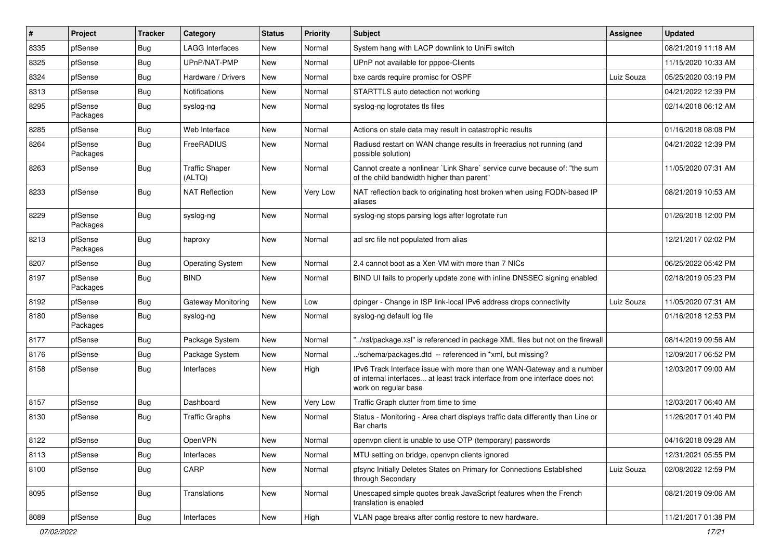| #    | Project             | <b>Tracker</b> | Category                        | <b>Status</b> | <b>Priority</b> | <b>Subject</b>                                                                                                                                                                | Assignee   | <b>Updated</b>      |
|------|---------------------|----------------|---------------------------------|---------------|-----------------|-------------------------------------------------------------------------------------------------------------------------------------------------------------------------------|------------|---------------------|
| 8335 | pfSense             | Bug            | <b>LAGG Interfaces</b>          | New           | Normal          | System hang with LACP downlink to UniFi switch                                                                                                                                |            | 08/21/2019 11:18 AM |
| 8325 | pfSense             | <b>Bug</b>     | UPnP/NAT-PMP                    | <b>New</b>    | Normal          | UPnP not available for pppoe-Clients                                                                                                                                          |            | 11/15/2020 10:33 AM |
| 8324 | pfSense             | Bug            | Hardware / Drivers              | New           | Normal          | bxe cards require promisc for OSPF                                                                                                                                            | Luiz Souza | 05/25/2020 03:19 PM |
| 8313 | pfSense             | <b>Bug</b>     | <b>Notifications</b>            | New           | Normal          | STARTTLS auto detection not working                                                                                                                                           |            | 04/21/2022 12:39 PM |
| 8295 | pfSense<br>Packages | <b>Bug</b>     | syslog-ng                       | New           | Normal          | syslog-ng logrotates tls files                                                                                                                                                |            | 02/14/2018 06:12 AM |
| 8285 | pfSense             | <b>Bug</b>     | Web Interface                   | New           | Normal          | Actions on stale data may result in catastrophic results                                                                                                                      |            | 01/16/2018 08:08 PM |
| 8264 | pfSense<br>Packages | Bug            | FreeRADIUS                      | New           | Normal          | Radiusd restart on WAN change results in freeradius not running (and<br>possible solution)                                                                                    |            | 04/21/2022 12:39 PM |
| 8263 | pfSense             | Bug            | <b>Traffic Shaper</b><br>(ALTQ) | <b>New</b>    | Normal          | Cannot create a nonlinear `Link Share` service curve because of: "the sum<br>of the child bandwidth higher than parent"                                                       |            | 11/05/2020 07:31 AM |
| 8233 | pfSense             | Bug            | <b>NAT Reflection</b>           | <b>New</b>    | Very Low        | NAT reflection back to originating host broken when using FQDN-based IP<br>aliases                                                                                            |            | 08/21/2019 10:53 AM |
| 8229 | pfSense<br>Packages | i Bug          | syslog-ng                       | <b>New</b>    | Normal          | syslog-ng stops parsing logs after logrotate run                                                                                                                              |            | 01/26/2018 12:00 PM |
| 8213 | pfSense<br>Packages | Bug            | haproxy                         | New           | Normal          | acl src file not populated from alias                                                                                                                                         |            | 12/21/2017 02:02 PM |
| 8207 | pfSense             | Bug            | <b>Operating System</b>         | New           | Normal          | 2.4 cannot boot as a Xen VM with more than 7 NICs                                                                                                                             |            | 06/25/2022 05:42 PM |
| 8197 | pfSense<br>Packages | Bug            | <b>BIND</b>                     | New           | Normal          | BIND UI fails to properly update zone with inline DNSSEC signing enabled                                                                                                      |            | 02/18/2019 05:23 PM |
| 8192 | pfSense             | <b>Bug</b>     | <b>Gateway Monitoring</b>       | New           | Low             | dpinger - Change in ISP link-local IPv6 address drops connectivity                                                                                                            | Luiz Souza | 11/05/2020 07:31 AM |
| 8180 | pfSense<br>Packages | Bug            | syslog-ng                       | New           | Normal          | syslog-ng default log file                                                                                                                                                    |            | 01/16/2018 12:53 PM |
| 8177 | pfSense             | <b>Bug</b>     | Package System                  | New           | Normal          | "/xsl/package.xsl" is referenced in package XML files but not on the firewall                                                                                                 |            | 08/14/2019 09:56 AM |
| 8176 | pfSense             | <b>Bug</b>     | Package System                  | New           | Normal          | /schema/packages.dtd -- referenced in *xml, but missing?                                                                                                                      |            | 12/09/2017 06:52 PM |
| 8158 | pfSense             | Bug            | Interfaces                      | New           | High            | IPv6 Track Interface issue with more than one WAN-Gateway and a number<br>of internal interfaces at least track interface from one interface does not<br>work on regular base |            | 12/03/2017 09:00 AM |
| 8157 | pfSense             | <b>Bug</b>     | Dashboard                       | New           | Very Low        | Traffic Graph clutter from time to time                                                                                                                                       |            | 12/03/2017 06:40 AM |
| 8130 | pfSense             | Bug            | <b>Traffic Graphs</b>           | New           | Normal          | Status - Monitoring - Area chart displays traffic data differently than Line or<br>Bar charts                                                                                 |            | 11/26/2017 01:40 PM |
| 8122 | pfSense             | <b>Bug</b>     | OpenVPN                         | New           | Normal          | openvpn client is unable to use OTP (temporary) passwords                                                                                                                     |            | 04/16/2018 09:28 AM |
| 8113 | pfSense             | <b>Bug</b>     | Interfaces                      | New           | Normal          | MTU setting on bridge, openvpn clients ignored                                                                                                                                |            | 12/31/2021 05:55 PM |
| 8100 | pfSense             | <b>Bug</b>     | CARP                            | New           | Normal          | pfsync Initially Deletes States on Primary for Connections Established<br>through Secondary                                                                                   | Luiz Souza | 02/08/2022 12:59 PM |
| 8095 | pfSense             | Bug            | Translations                    | New           | Normal          | Unescaped simple quotes break JavaScript features when the French<br>translation is enabled                                                                                   |            | 08/21/2019 09:06 AM |
| 8089 | pfSense             | Bug            | Interfaces                      | New           | High            | VLAN page breaks after config restore to new hardware.                                                                                                                        |            | 11/21/2017 01:38 PM |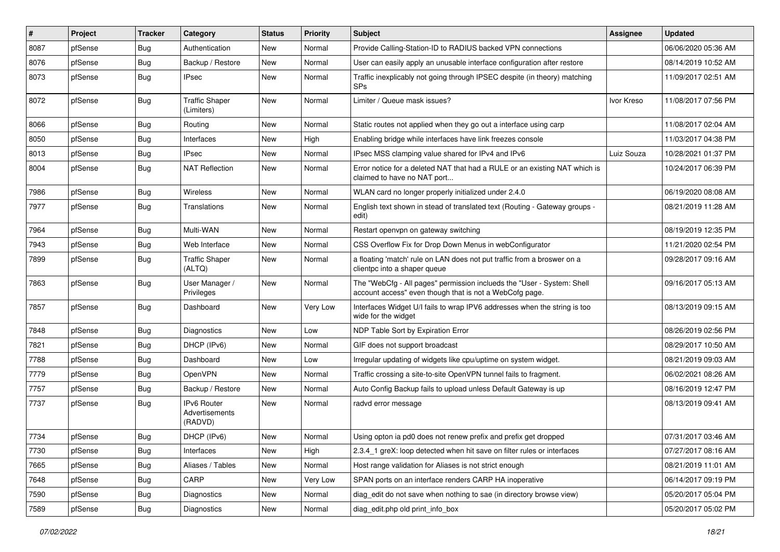| $\vert$ # | Project | <b>Tracker</b> | Category                                 | <b>Status</b> | <b>Priority</b> | Subject                                                                                                                           | Assignee   | <b>Updated</b>      |
|-----------|---------|----------------|------------------------------------------|---------------|-----------------|-----------------------------------------------------------------------------------------------------------------------------------|------------|---------------------|
| 8087      | pfSense | <b>Bug</b>     | Authentication                           | New           | Normal          | Provide Calling-Station-ID to RADIUS backed VPN connections                                                                       |            | 06/06/2020 05:36 AM |
| 8076      | pfSense | Bug            | Backup / Restore                         | New           | Normal          | User can easily apply an unusable interface configuration after restore                                                           |            | 08/14/2019 10:52 AM |
| 8073      | pfSense | Bug            | <b>IPsec</b>                             | New           | Normal          | Traffic inexplicably not going through IPSEC despite (in theory) matching<br>SPs                                                  |            | 11/09/2017 02:51 AM |
| 8072      | pfSense | Bug            | <b>Traffic Shaper</b><br>(Limiters)      | New           | Normal          | Limiter / Queue mask issues?                                                                                                      | Ivor Kreso | 11/08/2017 07:56 PM |
| 8066      | pfSense | <b>Bug</b>     | Routing                                  | New           | Normal          | Static routes not applied when they go out a interface using carp                                                                 |            | 11/08/2017 02:04 AM |
| 8050      | pfSense | Bug            | Interfaces                               | New           | High            | Enabling bridge while interfaces have link freezes console                                                                        |            | 11/03/2017 04:38 PM |
| 8013      | pfSense | <b>Bug</b>     | <b>IPsec</b>                             | New           | Normal          | IPsec MSS clamping value shared for IPv4 and IPv6                                                                                 | Luiz Souza | 10/28/2021 01:37 PM |
| 8004      | pfSense | <b>Bug</b>     | <b>NAT Reflection</b>                    | New           | Normal          | Error notice for a deleted NAT that had a RULE or an existing NAT which is<br>claimed to have no NAT port                         |            | 10/24/2017 06:39 PM |
| 7986      | pfSense | Bug            | Wireless                                 | New           | Normal          | WLAN card no longer properly initialized under 2.4.0                                                                              |            | 06/19/2020 08:08 AM |
| 7977      | pfSense | <b>Bug</b>     | Translations                             | New           | Normal          | English text shown in stead of translated text (Routing - Gateway groups -<br>edit)                                               |            | 08/21/2019 11:28 AM |
| 7964      | pfSense | Bug            | Multi-WAN                                | New           | Normal          | Restart openvpn on gateway switching                                                                                              |            | 08/19/2019 12:35 PM |
| 7943      | pfSense | Bug            | Web Interface                            | New           | Normal          | CSS Overflow Fix for Drop Down Menus in webConfigurator                                                                           |            | 11/21/2020 02:54 PM |
| 7899      | pfSense | Bug            | <b>Traffic Shaper</b><br>(ALTQ)          | New           | Normal          | a floating 'match' rule on LAN does not put traffic from a broswer on a<br>clientpc into a shaper queue                           |            | 09/28/2017 09:16 AM |
| 7863      | pfSense | Bug            | User Manager /<br>Privileges             | New           | Normal          | The "WebCfg - All pages" permission inclueds the "User - System: Shell<br>account access" even though that is not a WebCofg page. |            | 09/16/2017 05:13 AM |
| 7857      | pfSense | Bug            | Dashboard                                | New           | Very Low        | Interfaces Widget U/I fails to wrap IPV6 addresses when the string is too<br>wide for the widget                                  |            | 08/13/2019 09:15 AM |
| 7848      | pfSense | Bug            | Diagnostics                              | New           | Low             | NDP Table Sort by Expiration Error                                                                                                |            | 08/26/2019 02:56 PM |
| 7821      | pfSense | Bug            | DHCP (IPv6)                              | New           | Normal          | GIF does not support broadcast                                                                                                    |            | 08/29/2017 10:50 AM |
| 7788      | pfSense | Bug            | Dashboard                                | New           | Low             | Irregular updating of widgets like cpu/uptime on system widget.                                                                   |            | 08/21/2019 09:03 AM |
| 7779      | pfSense | <b>Bug</b>     | OpenVPN                                  | New           | Normal          | Traffic crossing a site-to-site OpenVPN tunnel fails to fragment.                                                                 |            | 06/02/2021 08:26 AM |
| 7757      | pfSense | Bug            | Backup / Restore                         | New           | Normal          | Auto Config Backup fails to upload unless Default Gateway is up                                                                   |            | 08/16/2019 12:47 PM |
| 7737      | pfSense | Bug            | IPv6 Router<br>Advertisements<br>(RADVD) | New           | Normal          | radvd error message                                                                                                               |            | 08/13/2019 09:41 AM |
| 7734      | pfSense | <b>Bug</b>     | DHCP (IPv6)                              | New           | Normal          | Using opton ia pd0 does not renew prefix and prefix get dropped                                                                   |            | 07/31/2017 03:46 AM |
| 7730      | pfSense | Bug            | Interfaces                               | New           | High            | 2.3.4_1 greX: loop detected when hit save on filter rules or interfaces                                                           |            | 07/27/2017 08:16 AM |
| 7665      | pfSense | <b>Bug</b>     | Aliases / Tables                         | New           | Normal          | Host range validation for Aliases is not strict enough                                                                            |            | 08/21/2019 11:01 AM |
| 7648      | pfSense | <b>Bug</b>     | CARP                                     | New           | Very Low        | SPAN ports on an interface renders CARP HA inoperative                                                                            |            | 06/14/2017 09:19 PM |
| 7590      | pfSense | <b>Bug</b>     | Diagnostics                              | New           | Normal          | diag_edit do not save when nothing to sae (in directory browse view)                                                              |            | 05/20/2017 05:04 PM |
| 7589      | pfSense | Bug            | Diagnostics                              | New           | Normal          | diag_edit.php old print_info_box                                                                                                  |            | 05/20/2017 05:02 PM |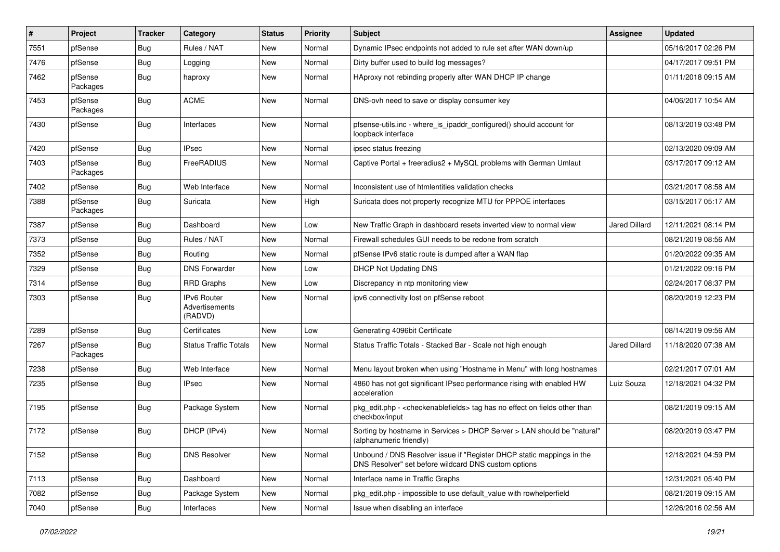| $\sharp$ | Project             | <b>Tracker</b> | Category                                 | <b>Status</b> | <b>Priority</b> | <b>Subject</b>                                                                                                                | Assignee      | <b>Updated</b>      |
|----------|---------------------|----------------|------------------------------------------|---------------|-----------------|-------------------------------------------------------------------------------------------------------------------------------|---------------|---------------------|
| 7551     | pfSense             | <b>Bug</b>     | Rules / NAT                              | New           | Normal          | Dynamic IPsec endpoints not added to rule set after WAN down/up                                                               |               | 05/16/2017 02:26 PM |
| 7476     | pfSense             | Bug            | Logging                                  | New           | Normal          | Dirty buffer used to build log messages?                                                                                      |               | 04/17/2017 09:51 PM |
| 7462     | pfSense<br>Packages | Bug            | haproxy                                  | New           | Normal          | HAproxy not rebinding properly after WAN DHCP IP change                                                                       |               | 01/11/2018 09:15 AM |
| 7453     | pfSense<br>Packages | Bug            | <b>ACME</b>                              | New           | Normal          | DNS-ovh need to save or display consumer key                                                                                  |               | 04/06/2017 10:54 AM |
| 7430     | pfSense             | Bug            | Interfaces                               | New           | Normal          | pfsense-utils.inc - where_is_ipaddr_configured() should account for<br>loopback interface                                     |               | 08/13/2019 03:48 PM |
| 7420     | pfSense             | <b>Bug</b>     | <b>IPsec</b>                             | New           | Normal          | ipsec status freezing                                                                                                         |               | 02/13/2020 09:09 AM |
| 7403     | pfSense<br>Packages | <b>Bug</b>     | FreeRADIUS                               | New           | Normal          | Captive Portal + freeradius2 + MySQL problems with German Umlaut                                                              |               | 03/17/2017 09:12 AM |
| 7402     | pfSense             | Bug            | Web Interface                            | New           | Normal          | Inconsistent use of htmlentities validation checks                                                                            |               | 03/21/2017 08:58 AM |
| 7388     | pfSense<br>Packages | Bug            | Suricata                                 | New           | High            | Suricata does not property recognize MTU for PPPOE interfaces                                                                 |               | 03/15/2017 05:17 AM |
| 7387     | pfSense             | Bug            | Dashboard                                | New           | Low             | New Traffic Graph in dashboard resets inverted view to normal view                                                            | Jared Dillard | 12/11/2021 08:14 PM |
| 7373     | pfSense             | Bug            | Rules / NAT                              | New           | Normal          | Firewall schedules GUI needs to be redone from scratch                                                                        |               | 08/21/2019 08:56 AM |
| 7352     | pfSense             | Bug            | Routing                                  | New           | Normal          | pfSense IPv6 static route is dumped after a WAN flap                                                                          |               | 01/20/2022 09:35 AM |
| 7329     | pfSense             | Bug            | <b>DNS Forwarder</b>                     | New           | Low             | <b>DHCP Not Updating DNS</b>                                                                                                  |               | 01/21/2022 09:16 PM |
| 7314     | pfSense             | Bug            | <b>RRD Graphs</b>                        | New           | Low             | Discrepancy in ntp monitoring view                                                                                            |               | 02/24/2017 08:37 PM |
| 7303     | pfSense             | Bug            | IPv6 Router<br>Advertisements<br>(RADVD) | New           | Normal          | ipv6 connectivity lost on pfSense reboot                                                                                      |               | 08/20/2019 12:23 PM |
| 7289     | pfSense             | Bug            | Certificates                             | <b>New</b>    | Low             | Generating 4096bit Certificate                                                                                                |               | 08/14/2019 09:56 AM |
| 7267     | pfSense<br>Packages | Bug            | <b>Status Traffic Totals</b>             | New           | Normal          | Status Traffic Totals - Stacked Bar - Scale not high enough                                                                   | Jared Dillard | 11/18/2020 07:38 AM |
| 7238     | pfSense             | Bug            | Web Interface                            | New           | Normal          | Menu layout broken when using "Hostname in Menu" with long hostnames                                                          |               | 02/21/2017 07:01 AM |
| 7235     | pfSense             | Bug            | <b>IPsec</b>                             | New           | Normal          | 4860 has not got significant IPsec performance rising with enabled HW<br>acceleration                                         | Luiz Souza    | 12/18/2021 04:32 PM |
| 7195     | pfSense             | Bug            | Package System                           | New           | Normal          | pkg_edit.php - <checkenablefields> tag has no effect on fields other than<br/>checkbox/input</checkenablefields>              |               | 08/21/2019 09:15 AM |
| 7172     | pfSense             | Bug            | DHCP (IPv4)                              | New           | Normal          | Sorting by hostname in Services > DHCP Server > LAN should be "natural"<br>(alphanumeric friendly)                            |               | 08/20/2019 03:47 PM |
| 7152     | pfSense             | <b>Bug</b>     | <b>DNS Resolver</b>                      | New           | Normal          | Unbound / DNS Resolver issue if "Register DHCP static mappings in the<br>DNS Resolver" set before wildcard DNS custom options |               | 12/18/2021 04:59 PM |
| 7113     | pfSense             | Bug            | Dashboard                                | New           | Normal          | Interface name in Traffic Graphs                                                                                              |               | 12/31/2021 05:40 PM |
| 7082     | pfSense             | <b>Bug</b>     | Package System                           | New           | Normal          | pkg_edit.php - impossible to use default_value with rowhelperfield                                                            |               | 08/21/2019 09:15 AM |
| 7040     | pfSense             | Bug            | Interfaces                               | New           | Normal          | Issue when disabling an interface                                                                                             |               | 12/26/2016 02:56 AM |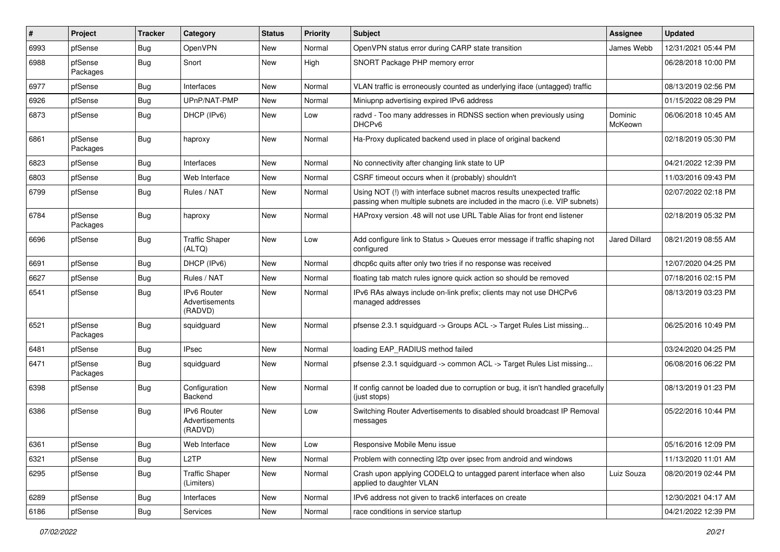| #    | Project             | <b>Tracker</b> | Category                                        | <b>Status</b> | <b>Priority</b> | <b>Subject</b>                                                                                                                                      | Assignee             | <b>Updated</b>      |
|------|---------------------|----------------|-------------------------------------------------|---------------|-----------------|-----------------------------------------------------------------------------------------------------------------------------------------------------|----------------------|---------------------|
| 6993 | pfSense             | <b>Bug</b>     | OpenVPN                                         | New           | Normal          | OpenVPN status error during CARP state transition                                                                                                   | James Webb           | 12/31/2021 05:44 PM |
| 6988 | pfSense<br>Packages | Bug            | Snort                                           | New           | High            | SNORT Package PHP memory error                                                                                                                      |                      | 06/28/2018 10:00 PM |
| 6977 | pfSense             | <b>Bug</b>     | Interfaces                                      | <b>New</b>    | Normal          | VLAN traffic is erroneously counted as underlying iface (untagged) traffic                                                                          |                      | 08/13/2019 02:56 PM |
| 6926 | pfSense             | <b>Bug</b>     | UPnP/NAT-PMP                                    | New           | Normal          | Miniupnp advertising expired IPv6 address                                                                                                           |                      | 01/15/2022 08:29 PM |
| 6873 | pfSense             | Bug            | DHCP (IPv6)                                     | New           | Low             | radvd - Too many addresses in RDNSS section when previously using<br>DHCP <sub>v6</sub>                                                             | Dominic<br>McKeown   | 06/06/2018 10:45 AM |
| 6861 | pfSense<br>Packages | <b>Bug</b>     | haproxy                                         | <b>New</b>    | Normal          | Ha-Proxy duplicated backend used in place of original backend                                                                                       |                      | 02/18/2019 05:30 PM |
| 6823 | pfSense             | Bug            | Interfaces                                      | New           | Normal          | No connectivity after changing link state to UP                                                                                                     |                      | 04/21/2022 12:39 PM |
| 6803 | pfSense             | <b>Bug</b>     | Web Interface                                   | New           | Normal          | CSRF timeout occurs when it (probably) shouldn't                                                                                                    |                      | 11/03/2016 09:43 PM |
| 6799 | pfSense             | <b>Bug</b>     | Rules / NAT                                     | New           | Normal          | Using NOT (!) with interface subnet macros results unexpected traffic<br>passing when multiple subnets are included in the macro (i.e. VIP subnets) |                      | 02/07/2022 02:18 PM |
| 6784 | pfSense<br>Packages | Bug            | haproxy                                         | <b>New</b>    | Normal          | HAProxy version .48 will not use URL Table Alias for front end listener                                                                             |                      | 02/18/2019 05:32 PM |
| 6696 | pfSense             | <b>Bug</b>     | <b>Traffic Shaper</b><br>(ALTQ)                 | New           | Low             | Add configure link to Status > Queues error message if traffic shaping not<br>configured                                                            | <b>Jared Dillard</b> | 08/21/2019 08:55 AM |
| 6691 | pfSense             | <b>Bug</b>     | DHCP (IPv6)                                     | New           | Normal          | dhcp6c quits after only two tries if no response was received                                                                                       |                      | 12/07/2020 04:25 PM |
| 6627 | pfSense             | <b>Bug</b>     | Rules / NAT                                     | <b>New</b>    | Normal          | floating tab match rules ignore quick action so should be removed                                                                                   |                      | 07/18/2016 02:15 PM |
| 6541 | pfSense             | <b>Bug</b>     | IPv6 Router<br>Advertisements<br>(RADVD)        | New           | Normal          | IPv6 RAs always include on-link prefix; clients may not use DHCPv6<br>managed addresses                                                             |                      | 08/13/2019 03:23 PM |
| 6521 | pfSense<br>Packages | Bug            | squidguard                                      | New           | Normal          | pfsense 2.3.1 squidguard -> Groups ACL -> Target Rules List missing                                                                                 |                      | 06/25/2016 10:49 PM |
| 6481 | pfSense             | Bug            | <b>IPsec</b>                                    | New           | Normal          | loading EAP_RADIUS method failed                                                                                                                    |                      | 03/24/2020 04:25 PM |
| 6471 | pfSense<br>Packages | <b>Bug</b>     | squidguard                                      | New           | Normal          | pfsense 2.3.1 squidguard -> common ACL -> Target Rules List missing                                                                                 |                      | 06/08/2016 06:22 PM |
| 6398 | pfSense             | <b>Bug</b>     | Configuration<br>Backend                        | <b>New</b>    | Normal          | If config cannot be loaded due to corruption or bug, it isn't handled gracefully<br>(just stops)                                                    |                      | 08/13/2019 01:23 PM |
| 6386 | pfSense             | <b>Bug</b>     | <b>IPv6 Router</b><br>Advertisements<br>(RADVD) | <b>New</b>    | Low             | Switching Router Advertisements to disabled should broadcast IP Removal<br>messages                                                                 |                      | 05/22/2016 10:44 PM |
| 6361 | pfSense             | <b>Bug</b>     | Web Interface                                   | New           | Low             | Responsive Mobile Menu issue                                                                                                                        |                      | 05/16/2016 12:09 PM |
| 6321 | pfSense             | Bug            | L <sub>2</sub> TP                               | New           | Normal          | Problem with connecting I2tp over ipsec from android and windows                                                                                    |                      | 11/13/2020 11:01 AM |
| 6295 | pfSense             | Bug            | <b>Traffic Shaper</b><br>(Limiters)             | New           | Normal          | Crash upon applying CODELQ to untagged parent interface when also<br>applied to daughter VLAN                                                       | Luiz Souza           | 08/20/2019 02:44 PM |
| 6289 | pfSense             | Bug            | Interfaces                                      | New           | Normal          | IPv6 address not given to track6 interfaces on create                                                                                               |                      | 12/30/2021 04:17 AM |
| 6186 | pfSense             | <b>Bug</b>     | Services                                        | New           | Normal          | race conditions in service startup                                                                                                                  |                      | 04/21/2022 12:39 PM |